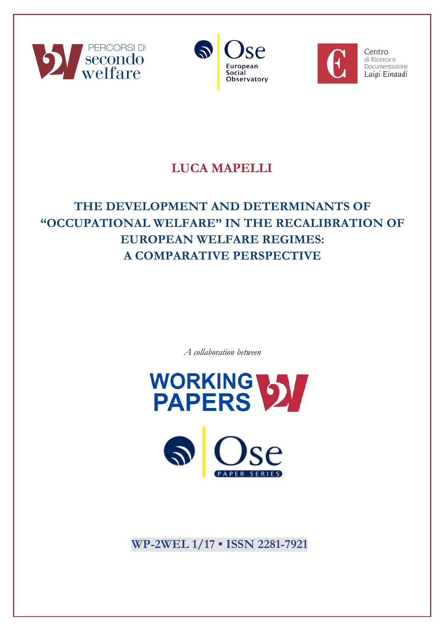





Centro di Ricerca e Documentazione Luigi Einaudi

# **LUCA MAPELLI**

# **THE DEVELOPMENT AND DETERMINANTS OF "OCCUPATIONAL WELFARE" IN THE RECALIBRATION OF EUROPEAN WELFARE REGIMES: A COMPARATIVE PERSPECTIVE**

*A collaboration between*





**WP-2WEL 1/17 • ISSN 2281-7921**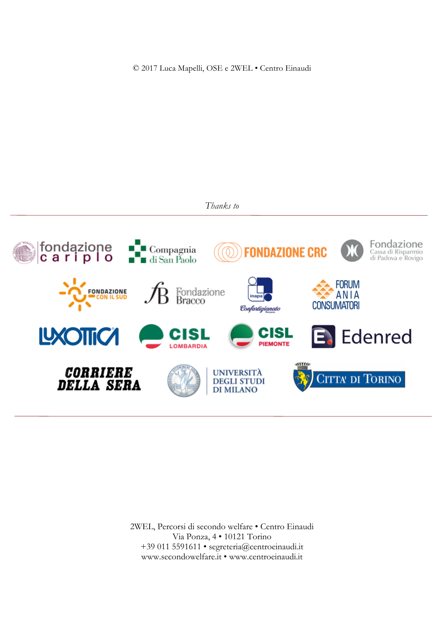© 2017 Luca Mapelli, OSE e 2WEL • Centro Einaudi





2WEL, Percorsi di secondo welfare • Centro Einaudi Via Ponza, 4 • 10121 Torino +39 011 5591611 • segreteria@centroeinaudi.it www.secondowelfare.it • www.centroeinaudi.it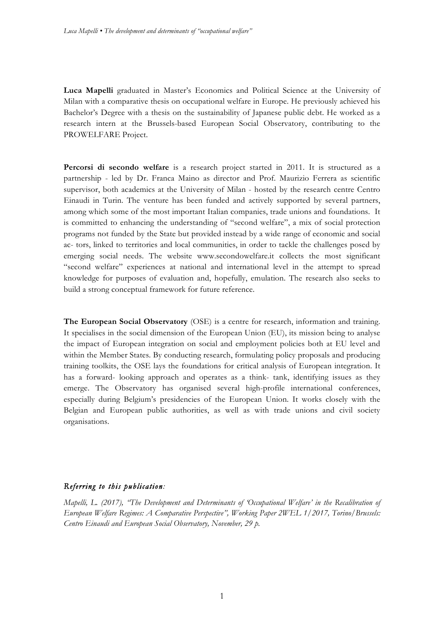**Luca Mapelli** graduated in Master's Economics and Political Science at the University of Milan with a comparative thesis on occupational welfare in Europe. He previously achieved his Bachelor's Degree with a thesis on the sustainability of Japanese public debt. He worked as a research intern at the Brussels-based European Social Observatory, contributing to the PROWELFARE Project.

**Percorsi di secondo welfare** is a research project started in 2011. It is structured as a partnership - led by Dr. Franca Maino as director and Prof. Maurizio Ferrera as scientific supervisor, both academics at the University of Milan - hosted by the research centre Centro Einaudi in Turin. The venture has been funded and actively supported by several partners, among which some of the most important Italian companies, trade unions and foundations. It is committed to enhancing the understanding of "second welfare", a mix of social protection programs not funded by the State but provided instead by a wide range of economic and social ac- tors, linked to territories and local communities, in order to tackle the challenges posed by emerging social needs. The website www.secondowelfare.it collects the most significant "second welfare" experiences at national and international level in the attempt to spread knowledge for purposes of evaluation and, hopefully, emulation. The research also seeks to build a strong conceptual framework for future reference.

**The European Social Observatory** (OSE) is a centre for research, information and training. It specialises in the social dimension of the European Union (EU), its mission being to analyse the impact of European integration on social and employment policies both at EU level and within the Member States. By conducting research, formulating policy proposals and producing training toolkits, the OSE lays the foundations for critical analysis of European integration. It has a forward- looking approach and operates as a think- tank, identifying issues as they emerge. The Observatory has organised several high-profile international conferences, especially during Belgium's presidencies of the European Union. It works closely with the Belgian and European public authorities, as well as with trade unions and civil society organisations.

## *Referring to this publication:*

*Mapelli, L. (2017), "The Development and Determinants of 'Occupational Welfare' in the Recalibration of European Welfare Regimes: A Comparative Perspective", Working Paper 2WEL 1/2017, Torino/Brussels: Centro Einaudi and European Social Observatory, November, 29 p.*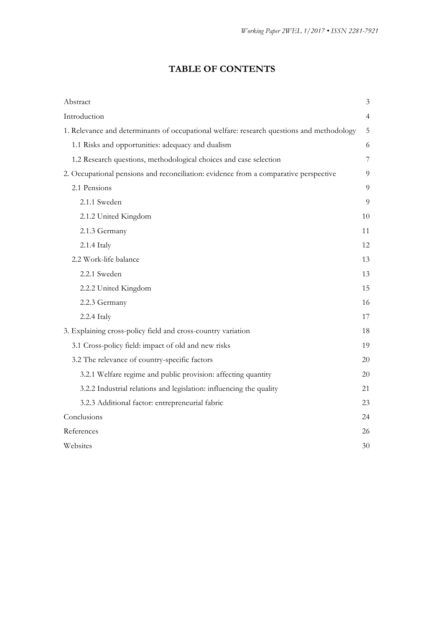# **TABLE OF CONTENTS**

| Abstract                                                                                  | $\mathfrak{Z}$ |
|-------------------------------------------------------------------------------------------|----------------|
| Introduction                                                                              | $\overline{4}$ |
| 1. Relevance and determinants of occupational welfare: research questions and methodology | 5              |
| 1.1 Risks and opportunities: adequacy and dualism                                         | 6              |
| 1.2 Research questions, methodological choices and case selection                         | 7              |
| 2. Occupational pensions and reconciliation: evidence from a comparative perspective      | 9              |
| 2.1 Pensions                                                                              | 9              |
| 2.1.1 Sweden                                                                              | 9              |
| 2.1.2 United Kingdom                                                                      | 10             |
| 2.1.3 Germany                                                                             | 11             |
| 2.1.4 Italy                                                                               | 12             |
| 2.2 Work-life balance                                                                     | 13             |
| 2.2.1 Sweden                                                                              | 13             |
| 2.2.2 United Kingdom                                                                      | 15             |
| 2.2.3 Germany                                                                             | 16             |
| 2.2.4 Italy                                                                               | 17             |
| 3. Explaining cross-policy field and cross-country variation                              | 18             |
| 3.1 Cross-policy field: impact of old and new risks                                       | 19             |
| 3.2 The relevance of country-specific factors                                             | 20             |
| 3.2.1 Welfare regime and public provision: affecting quantity                             | 20             |
| 3.2.2 Industrial relations and legislation: influencing the quality                       | 21             |
| 3.2.3 Additional factor: entrepreneurial fabric                                           | 23             |
| Conclusions                                                                               | 24             |
| References                                                                                | 26             |
| Websites                                                                                  | 30             |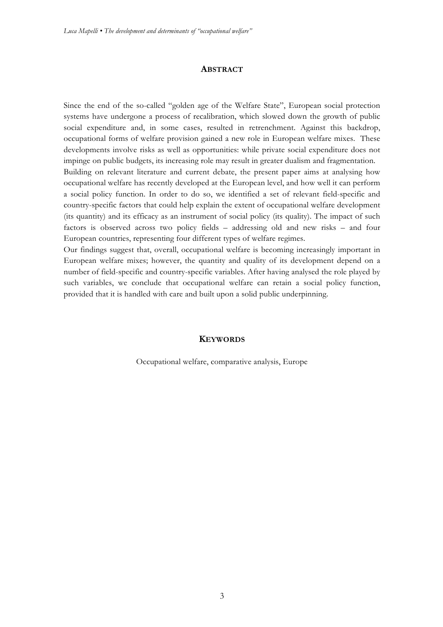#### **ABSTRACT**

Since the end of the so-called "golden age of the Welfare State", European social protection systems have undergone a process of recalibration, which slowed down the growth of public social expenditure and, in some cases, resulted in retrenchment. Against this backdrop, occupational forms of welfare provision gained a new role in European welfare mixes. These developments involve risks as well as opportunities: while private social expenditure does not impinge on public budgets, its increasing role may result in greater dualism and fragmentation. Building on relevant literature and current debate, the present paper aims at analysing how occupational welfare has recently developed at the European level, and how well it can perform a social policy function. In order to do so, we identified a set of relevant field-specific and country-specific factors that could help explain the extent of occupational welfare development (its quantity) and its efficacy as an instrument of social policy (its quality). The impact of such factors is observed across two policy fields – addressing old and new risks – and four European countries, representing four different types of welfare regimes.

Our findings suggest that, overall, occupational welfare is becoming increasingly important in European welfare mixes; however, the quantity and quality of its development depend on a number of field-specific and country-specific variables. After having analysed the role played by such variables, we conclude that occupational welfare can retain a social policy function, provided that it is handled with care and built upon a solid public underpinning.

#### **KEYWORDS**

Occupational welfare, comparative analysis, Europe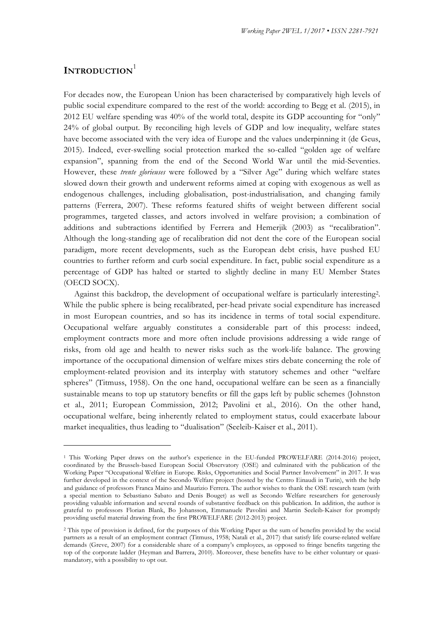# **INTRODUCTION**<sup>1</sup>

<u> 1989 - Jan Samuel Barbara, margaret e</u>

For decades now, the European Union has been characterised by comparatively high levels of public social expenditure compared to the rest of the world: according to Begg et al. (2015), in 2012 EU welfare spending was 40% of the world total, despite its GDP accounting for "only" 24% of global output. By reconciling high levels of GDP and low inequality, welfare states have become associated with the very idea of Europe and the values underpinning it (de Geus, 2015). Indeed, ever-swelling social protection marked the so-called "golden age of welfare expansion", spanning from the end of the Second World War until the mid-Seventies. However, these *trente glorieuses* were followed by a "Silver Age" during which welfare states slowed down their growth and underwent reforms aimed at coping with exogenous as well as endogenous challenges, including globalisation, post-industrialisation, and changing family patterns (Ferrera, 2007). These reforms featured shifts of weight between different social programmes, targeted classes, and actors involved in welfare provision; a combination of additions and subtractions identified by Ferrera and Hemerjik (2003) as "recalibration". Although the long-standing age of recalibration did not dent the core of the European social paradigm, more recent developments, such as the European debt crisis, have pushed EU countries to further reform and curb social expenditure. In fact, public social expenditure as a percentage of GDP has halted or started to slightly decline in many EU Member States (OECD SOCX).

Against this backdrop, the development of occupational welfare is particularly interesting2. While the public sphere is being recalibrated, per-head private social expenditure has increased in most European countries, and so has its incidence in terms of total social expenditure. Occupational welfare arguably constitutes a considerable part of this process: indeed, employment contracts more and more often include provisions addressing a wide range of risks, from old age and health to newer risks such as the work-life balance. The growing importance of the occupational dimension of welfare mixes stirs debate concerning the role of employment-related provision and its interplay with statutory schemes and other "welfare spheres" (Titmuss, 1958). On the one hand, occupational welfare can be seen as a financially sustainable means to top up statutory benefits or fill the gaps left by public schemes (Johnston et al., 2011; European Commission, 2012; Pavolini et al., 2016). On the other hand, occupational welfare, being inherently related to employment status, could exacerbate labour market inequalities, thus leading to "dualisation" (Seeleib-Kaiser et al., 2011).

<sup>1</sup> This Working Paper draws on the author's experience in the EU-funded PROWELFARE (2014-2016) project, coordinated by the Brussels-based European Social Observatory (OSE) and culminated with the publication of the Working Paper "Occupational Welfare in Europe. Risks, Opportunities and Social Partner Involvement" in 2017. It was further developed in the context of the Secondo Welfare project (hosted by the Centro Einaudi in Turin), with the help and guidance of professors Franca Maino and Maurizio Ferrera. The author wishes to thank the OSE research team (with a special mention to Sebastiano Sabato and Denis Bouget) as well as Secondo Welfare researchers for generously providing valuable information and several rounds of substantive feedback on this publication. In addition, the author is grateful to professors Florian Blank, Bo Johansson, Emmanuele Pavolini and Martin Seeleib-Kaiser for promptly providing useful material drawing from the first PROWELFARE (2012-2013) project.

<sup>2</sup> This type of provision is defined, for the purposes of this Working Paper as the sum of benefits provided by the social partners as a result of an employment contract (Titmuss, 1958; Natali et al., 2017) that satisfy life course-related welfare demands (Greve, 2007) for a considerable share of a company's employees, as opposed to fringe benefits targeting the top of the corporate ladder (Heyman and Barrera, 2010). Moreover, these benefits have to be either voluntary or quasimandatory, with a possibility to opt out.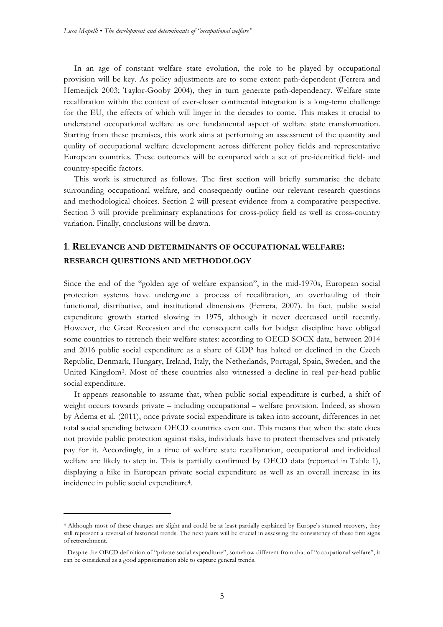In an age of constant welfare state evolution, the role to be played by occupational provision will be key. As policy adjustments are to some extent path-dependent (Ferrera and Hemerijck 2003; Taylor-Gooby 2004), they in turn generate path-dependency. Welfare state recalibration within the context of ever-closer continental integration is a long-term challenge for the EU, the effects of which will linger in the decades to come. This makes it crucial to understand occupational welfare as one fundamental aspect of welfare state transformation. Starting from these premises, this work aims at performing an assessment of the quantity and quality of occupational welfare development across different policy fields and representative European countries. These outcomes will be compared with a set of pre-identified field- and country-specific factors.

This work is structured as follows. The first section will briefly summarise the debate surrounding occupational welfare, and consequently outline our relevant research questions and methodological choices. Section 2 will present evidence from a comparative perspective. Section 3 will provide preliminary explanations for cross-policy field as well as cross-country variation. Finally, conclusions will be drawn.

# **1**. **RELEVANCE AND DETERMINANTS OF OCCUPATIONAL WELFARE: RESEARCH QUESTIONS AND METHODOLOGY**

Since the end of the "golden age of welfare expansion", in the mid-1970s, European social protection systems have undergone a process of recalibration, an overhauling of their functional, distributive, and institutional dimensions (Ferrera, 2007). In fact, public social expenditure growth started slowing in 1975, although it never decreased until recently. However, the Great Recession and the consequent calls for budget discipline have obliged some countries to retrench their welfare states: according to OECD SOCX data, between 2014 and 2016 public social expenditure as a share of GDP has halted or declined in the Czech Republic, Denmark, Hungary, Ireland, Italy, the Netherlands, Portugal, Spain, Sweden, and the United Kingdom3. Most of these countries also witnessed a decline in real per-head public social expenditure.

It appears reasonable to assume that, when public social expenditure is curbed, a shift of weight occurs towards private – including occupational – welfare provision. Indeed, as shown by Adema et al. (2011), once private social expenditure is taken into account, differences in net total social spending between OECD countries even out. This means that when the state does not provide public protection against risks, individuals have to protect themselves and privately pay for it. Accordingly, in a time of welfare state recalibration, occupational and individual welfare are likely to step in. This is partially confirmed by OECD data (reported in Table 1), displaying a hike in European private social expenditure as well as an overall increase in its incidence in public social expenditure4.

<u> 1989 - Jan Samuel Barbara, margaret e</u>

<sup>3</sup> Although most of these changes are slight and could be at least partially explained by Europe's stunted recovery, they still represent a reversal of historical trends. The next years will be crucial in assessing the consistency of these first signs of retrenchment.

<sup>4</sup> Despite the OECD definition of "private social expenditure", somehow different from that of "occupational welfare", it can be considered as a good approximation able to capture general trends.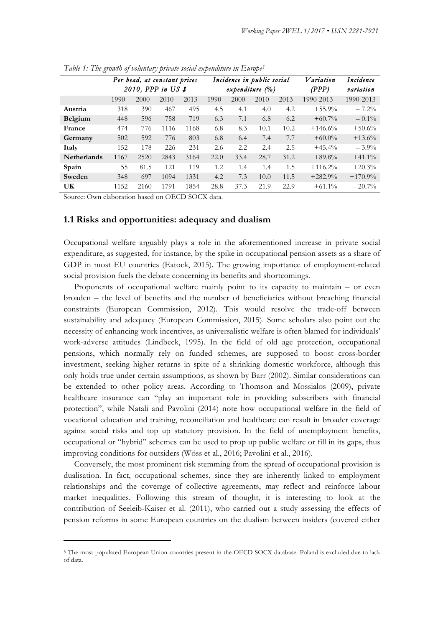|                    |                     | Per head, at constant prices |                 |      |      | Incidence in public social |           |      | Variation  | Incidence |
|--------------------|---------------------|------------------------------|-----------------|------|------|----------------------------|-----------|------|------------|-----------|
|                    | 2010, PPP in US $$$ |                              | expenditure (%) |      |      | (PPP)                      | variation |      |            |           |
|                    | 1990                | 2000                         | 2010            | 2013 | 1990 | 2000                       | 2010      | 2013 | 1990-2013  | 1990-2013 |
| Austria            | 318                 | 390                          | 467             | 495  | 4.5  | 4.1                        | 4.0       | 4.2  | $+55.9%$   | $-7.2%$   |
| <b>Belgium</b>     | 448                 | 596                          | 758             | 719  | 6.3  | 7.1                        | 6.8       | 6.2  | $+60.7%$   | $-0.1\%$  |
| France             | 474                 | 776                          | 1116            | 1168 | 6.8  | 8.3                        | 10.1      | 10.2 | $+146.6%$  | $+50.6%$  |
| Germany            | 502                 | 592                          | 776             | 803  | 6.8  | 6.4                        | 7.4       | 7.7  | $+60.0\%$  | $+13.6%$  |
| Italy              | 152                 | 178                          | 226             | 231  | 2.6  | 2.2                        | 2.4       | 2.5  | $+45.4%$   | $-3.9\%$  |
| <b>Netherlands</b> | 1167                | 2520                         | 2843            | 3164 | 22.0 | 33.4                       | 28.7      | 31.2 | $+89.8%$   | $+41.1%$  |
| Spain              | 55                  | 81.5                         | 121             | 119  | 1.2  | 1.4                        | 1.4       | 1.5  | $+116.2\%$ | $+20.3%$  |
| Sweden             | 348                 | 697                          | 1094            | 1331 | 4.2  | 7.3                        | 10.0      | 11.5 | $+282.9%$  | $+170.9%$ |
| UK                 | 1152                | 2160                         | 1791            | 1854 | 28.8 | 37.3                       | 21.9      | 22.9 | $+61.1\%$  | $-20.7\%$ |

*Table 1: The growth of voluntary private social expenditure in Europe5*

Source: Own elaboration based on OECD SOCX data.

<u> 1989 - Jan Samuel Barbara, margaret e</u>

#### **1.1 Risks and opportunities: adequacy and dualism**

Occupational welfare arguably plays a role in the aforementioned increase in private social expenditure, as suggested, for instance, by the spike in occupational pension assets as a share of GDP in most EU countries (Eatock, 2015). The growing importance of employment-related social provision fuels the debate concerning its benefits and shortcomings.

Proponents of occupational welfare mainly point to its capacity to maintain – or even broaden – the level of benefits and the number of beneficiaries without breaching financial constraints (European Commission, 2012). This would resolve the trade-off between sustainability and adequacy (European Commission, 2015). Some scholars also point out the necessity of enhancing work incentives, as universalistic welfare is often blamed for individuals' work-adverse attitudes (Lindbeck, 1995). In the field of old age protection, occupational pensions, which normally rely on funded schemes, are supposed to boost cross-border investment, seeking higher returns in spite of a shrinking domestic workforce, although this only holds true under certain assumptions, as shown by Barr (2002). Similar considerations can be extended to other policy areas. According to Thomson and Mossialos (2009), private healthcare insurance can "play an important role in providing subscribers with financial protection", while Natali and Pavolini (2014) note how occupational welfare in the field of vocational education and training, reconciliation and healthcare can result in broader coverage against social risks and top up statutory provision. In the field of unemployment benefits, occupational or "hybrid" schemes can be used to prop up public welfare or fill in its gaps, thus improving conditions for outsiders (Wöss et al., 2016; Pavolini et al., 2016).

Conversely, the most prominent risk stemming from the spread of occupational provision is dualisation. In fact, occupational schemes, since they are inherently linked to employment relationships and the coverage of collective agreements, may reflect and reinforce labour market inequalities. Following this stream of thought, it is interesting to look at the contribution of Seeleib-Kaiser et al. (2011), who carried out a study assessing the effects of pension reforms in some European countries on the dualism between insiders (covered either

<sup>&</sup>lt;sup>5</sup> The most populated European Union countries present in the OECD SOCX database. Poland is excluded due to lack of data.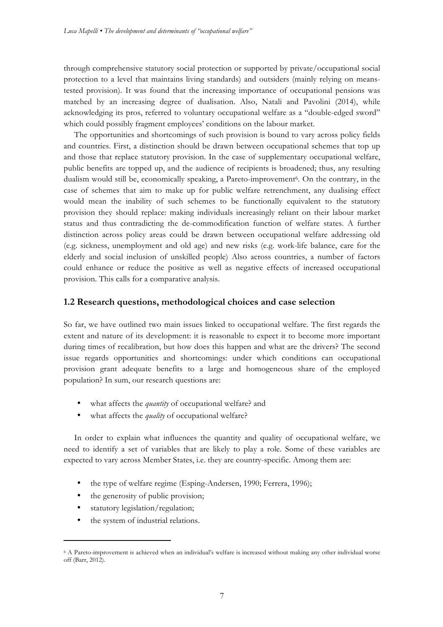through comprehensive statutory social protection or supported by private/occupational social protection to a level that maintains living standards) and outsiders (mainly relying on meanstested provision). It was found that the increasing importance of occupational pensions was matched by an increasing degree of dualisation. Also, Natali and Pavolini (2014), while acknowledging its pros, referred to voluntary occupational welfare as a "double-edged sword" which could possibly fragment employees' conditions on the labour market.

The opportunities and shortcomings of such provision is bound to vary across policy fields and countries. First, a distinction should be drawn between occupational schemes that top up and those that replace statutory provision. In the case of supplementary occupational welfare, public benefits are topped up, and the audience of recipients is broadened; thus, any resulting dualism would still be, economically speaking, a Pareto-improvement<sup>6</sup>. On the contrary, in the case of schemes that aim to make up for public welfare retrenchment, any dualising effect would mean the inability of such schemes to be functionally equivalent to the statutory provision they should replace: making individuals increasingly reliant on their labour market status and thus contradicting the de-commodification function of welfare states. A further distinction across policy areas could be drawn between occupational welfare addressing old (e.g. sickness, unemployment and old age) and new risks (e.g. work-life balance, care for the elderly and social inclusion of unskilled people) Also across countries, a number of factors could enhance or reduce the positive as well as negative effects of increased occupational provision. This calls for a comparative analysis.

## **1.2 Research questions, methodological choices and case selection**

So far, we have outlined two main issues linked to occupational welfare. The first regards the extent and nature of its development: it is reasonable to expect it to become more important during times of recalibration, but how does this happen and what are the drivers? The second issue regards opportunities and shortcomings: under which conditions can occupational provision grant adequate benefits to a large and homogeneous share of the employed population? In sum, our research questions are:

- what affects the *quantity* of occupational welfare? and
- what affects the *quality* of occupational welfare?

In order to explain what influences the quantity and quality of occupational welfare, we need to identify a set of variables that are likely to play a role. Some of these variables are expected to vary across Member States, i.e. they are country-specific. Among them are:

- the type of welfare regime (Esping-Andersen, 1990; Ferrera, 1996);
- the generosity of public provision;
- statutory legislation/regulation;

<u> 1989 - Jan Samuel Barbara, margaret e</u>

the system of industrial relations.

<sup>6</sup> A Pareto-improvement is achieved when an individual's welfare is increased without making any other individual worse off (Barr, 2012).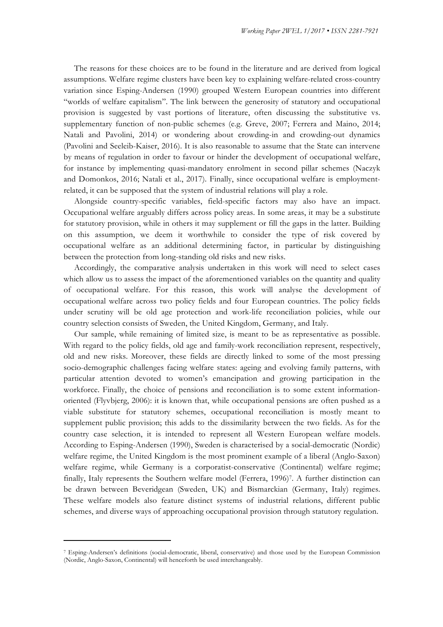The reasons for these choices are to be found in the literature and are derived from logical assumptions. Welfare regime clusters have been key to explaining welfare-related cross-country variation since Esping-Andersen (1990) grouped Western European countries into different "worlds of welfare capitalism". The link between the generosity of statutory and occupational provision is suggested by vast portions of literature, often discussing the substitutive vs. supplementary function of non-public schemes (e.g. Greve, 2007; Ferrera and Maino, 2014; Natali and Pavolini, 2014) or wondering about crowding-in and crowding-out dynamics (Pavolini and Seeleib-Kaiser, 2016). It is also reasonable to assume that the State can intervene by means of regulation in order to favour or hinder the development of occupational welfare, for instance by implementing quasi-mandatory enrolment in second pillar schemes (Naczyk and Domonkos, 2016; Natali et al., 2017). Finally, since occupational welfare is employmentrelated, it can be supposed that the system of industrial relations will play a role.

Alongside country-specific variables, field-specific factors may also have an impact. Occupational welfare arguably differs across policy areas. In some areas, it may be a substitute for statutory provision, while in others it may supplement or fill the gaps in the latter. Building on this assumption, we deem it worthwhile to consider the type of risk covered by occupational welfare as an additional determining factor, in particular by distinguishing between the protection from long-standing old risks and new risks.

Accordingly, the comparative analysis undertaken in this work will need to select cases which allow us to assess the impact of the aforementioned variables on the quantity and quality of occupational welfare. For this reason, this work will analyse the development of occupational welfare across two policy fields and four European countries. The policy fields under scrutiny will be old age protection and work-life reconciliation policies, while our country selection consists of Sweden, the United Kingdom, Germany, and Italy.

Our sample, while remaining of limited size, is meant to be as representative as possible. With regard to the policy fields, old age and family-work reconciliation represent, respectively, old and new risks. Moreover, these fields are directly linked to some of the most pressing socio-demographic challenges facing welfare states: ageing and evolving family patterns, with particular attention devoted to women's emancipation and growing participation in the workforce. Finally, the choice of pensions and reconciliation is to some extent informationoriented (Flyvbjerg, 2006): it is known that, while occupational pensions are often pushed as a viable substitute for statutory schemes, occupational reconciliation is mostly meant to supplement public provision; this adds to the dissimilarity between the two fields. As for the country case selection, it is intended to represent all Western European welfare models. According to Esping-Andersen (1990), Sweden is characterised by a social-democratic (Nordic) welfare regime, the United Kingdom is the most prominent example of a liberal (Anglo-Saxon) welfare regime, while Germany is a corporatist-conservative (Continental) welfare regime; finally, Italy represents the Southern welfare model (Ferrera, 1996)7. A further distinction can be drawn between Beveridgean (Sweden, UK) and Bismarckian (Germany, Italy) regimes. These welfare models also feature distinct systems of industrial relations, different public schemes, and diverse ways of approaching occupational provision through statutory regulation.

<u> 1989 - Jan Samuel Barbara, margaret e</u>

<sup>7</sup> Esping-Andersen's definitions (social-democratic, liberal, conservative) and those used by the European Commission (Nordic, Anglo-Saxon, Continental) will henceforth be used interchangeably.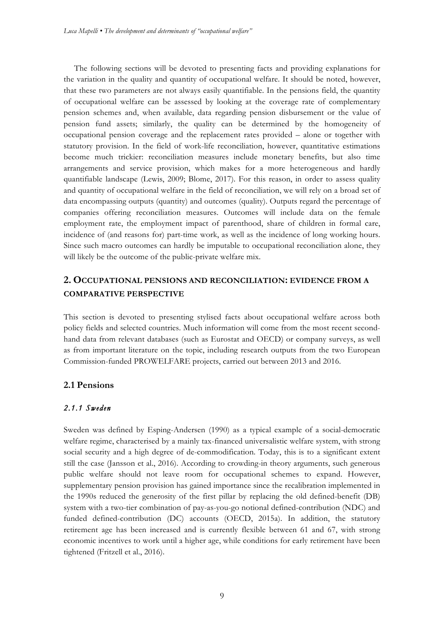The following sections will be devoted to presenting facts and providing explanations for the variation in the quality and quantity of occupational welfare. It should be noted, however, that these two parameters are not always easily quantifiable. In the pensions field, the quantity of occupational welfare can be assessed by looking at the coverage rate of complementary pension schemes and, when available, data regarding pension disbursement or the value of pension fund assets; similarly, the quality can be determined by the homogeneity of occupational pension coverage and the replacement rates provided – alone or together with statutory provision. In the field of work-life reconciliation, however, quantitative estimations become much trickier: reconciliation measures include monetary benefits, but also time arrangements and service provision, which makes for a more heterogeneous and hardly quantifiable landscape (Lewis, 2009; Blome, 2017). For this reason, in order to assess quality and quantity of occupational welfare in the field of reconciliation, we will rely on a broad set of data encompassing outputs (quantity) and outcomes (quality). Outputs regard the percentage of companies offering reconciliation measures. Outcomes will include data on the female employment rate, the employment impact of parenthood, share of children in formal care, incidence of (and reasons for) part-time work, as well as the incidence of long working hours. Since such macro outcomes can hardly be imputable to occupational reconciliation alone, they will likely be the outcome of the public-private welfare mix.

# **2. OCCUPATIONAL PENSIONS AND RECONCILIATION: EVIDENCE FROM A COMPARATIVE PERSPECTIVE**

This section is devoted to presenting stylised facts about occupational welfare across both policy fields and selected countries. Much information will come from the most recent secondhand data from relevant databases (such as Eurostat and OECD) or company surveys, as well as from important literature on the topic, including research outputs from the two European Commission-funded PROWELFARE projects, carried out between 2013 and 2016.

#### **2.1 Pensions**

#### *2.1.1 Sweden*

Sweden was defined by Esping-Andersen (1990) as a typical example of a social-democratic welfare regime, characterised by a mainly tax-financed universalistic welfare system, with strong social security and a high degree of de-commodification. Today, this is to a significant extent still the case (Jansson et al., 2016). According to crowding-in theory arguments, such generous public welfare should not leave room for occupational schemes to expand. However, supplementary pension provision has gained importance since the recalibration implemented in the 1990s reduced the generosity of the first pillar by replacing the old defined-benefit (DB) system with a two-tier combination of pay-as-you-go notional defined-contribution (NDC) and funded defined-contribution (DC) accounts (OECD, 2015a). In addition, the statutory retirement age has been increased and is currently flexible between 61 and 67, with strong economic incentives to work until a higher age, while conditions for early retirement have been tightened (Fritzell et al., 2016).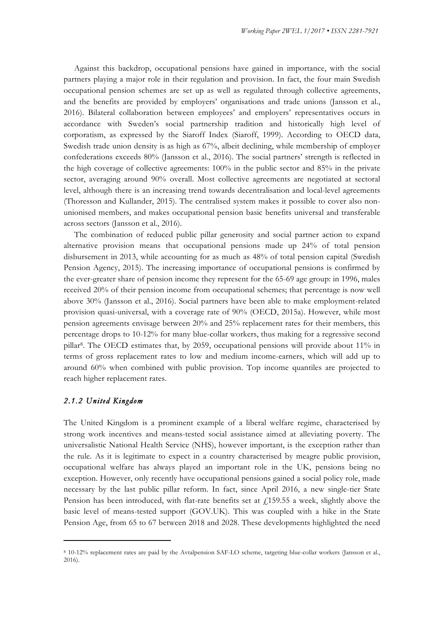Against this backdrop, occupational pensions have gained in importance, with the social partners playing a major role in their regulation and provision. In fact, the four main Swedish occupational pension schemes are set up as well as regulated through collective agreements, and the benefits are provided by employers' organisations and trade unions (Jansson et al., 2016). Bilateral collaboration between employees' and employers' representatives occurs in accordance with Sweden's social partnership tradition and historically high level of corporatism, as expressed by the Siaroff Index (Siaroff, 1999). According to OECD data, Swedish trade union density is as high as 67%, albeit declining, while membership of employer confederations exceeds 80% (Jansson et al., 2016). The social partners' strength is reflected in the high coverage of collective agreements: 100% in the public sector and 85% in the private sector, averaging around 90% overall. Most collective agreements are negotiated at sectoral level, although there is an increasing trend towards decentralisation and local-level agreements (Thoresson and Kullander, 2015). The centralised system makes it possible to cover also nonunionised members, and makes occupational pension basic benefits universal and transferable across sectors (Jansson et al., 2016).

The combination of reduced public pillar generosity and social partner action to expand alternative provision means that occupational pensions made up 24% of total pension disbursement in 2013, while accounting for as much as 48% of total pension capital (Swedish Pension Agency, 2015). The increasing importance of occupational pensions is confirmed by the ever-greater share of pension income they represent for the 65-69 age group: in 1996, males received 20% of their pension income from occupational schemes; that percentage is now well above 30% (Jansson et al., 2016). Social partners have been able to make employment-related provision quasi-universal, with a coverage rate of 90% (OECD, 2015a). However, while most pension agreements envisage between 20% and 25% replacement rates for their members, this percentage drops to 10-12% for many blue-collar workers, thus making for a regressive second pillar8. The OECD estimates that, by 2059, occupational pensions will provide about 11% in terms of gross replacement rates to low and medium income-earners, which will add up to around 60% when combined with public provision. Top income quantiles are projected to reach higher replacement rates.

#### *2.1.2 United Kingdom*

<u> 1989 - Jan Samuel Barbara, margaret e</u>

The United Kingdom is a prominent example of a liberal welfare regime, characterised by strong work incentives and means-tested social assistance aimed at alleviating poverty. The universalistic National Health Service (NHS), however important, is the exception rather than the rule. As it is legitimate to expect in a country characterised by meagre public provision, occupational welfare has always played an important role in the UK, pensions being no exception. However, only recently have occupational pensions gained a social policy role, made necessary by the last public pillar reform. In fact, since April 2016, a new single-tier State Pension has been introduced, with flat-rate benefits set at  $f<sub>i</sub>$  159.55 a week, slightly above the basic level of means-tested support (GOV.UK). This was coupled with a hike in the State Pension Age, from 65 to 67 between 2018 and 2028. These developments highlighted the need

<sup>8</sup> 10-12% replacement rates are paid by the Avtalpension SAF-LO scheme, targeting blue-collar workers (Jansson et al., 2016).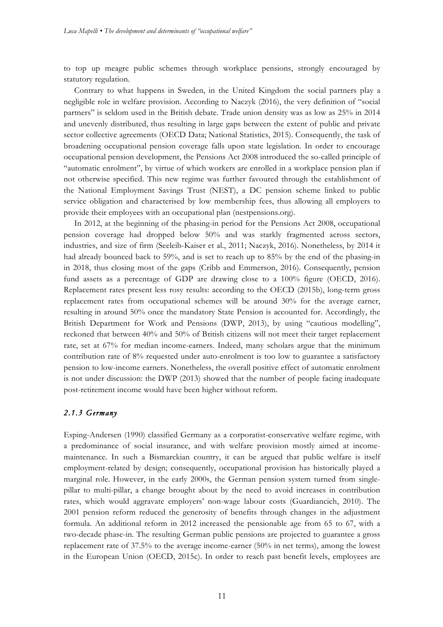to top up meagre public schemes through workplace pensions, strongly encouraged by statutory regulation.

Contrary to what happens in Sweden, in the United Kingdom the social partners play a negligible role in welfare provision. According to Naczyk (2016), the very definition of "social partners" is seldom used in the British debate. Trade union density was as low as 25% in 2014 and unevenly distributed, thus resulting in large gaps between the extent of public and private sector collective agreements (OECD Data; National Statistics, 2015). Consequently, the task of broadening occupational pension coverage falls upon state legislation. In order to encourage occupational pension development, the Pensions Act 2008 introduced the so-called principle of "automatic enrolment", by virtue of which workers are enrolled in a workplace pension plan if not otherwise specified. This new regime was further favoured through the establishment of the National Employment Savings Trust (NEST), a DC pension scheme linked to public service obligation and characterised by low membership fees, thus allowing all employers to provide their employees with an occupational plan (nestpensions.org).

In 2012, at the beginning of the phasing-in period for the Pensions Act 2008, occupational pension coverage had dropped below 50% and was starkly fragmented across sectors, industries, and size of firm (Seeleib-Kaiser et al., 2011; Naczyk, 2016). Nonetheless, by 2014 it had already bounced back to 59%, and is set to reach up to 85% by the end of the phasing-in in 2018, thus closing most of the gaps (Cribb and Emmerson, 2016). Consequently, pension fund assets as a percentage of GDP are drawing close to a 100% figure (OECD, 2016). Replacement rates present less rosy results: according to the OECD (2015b), long-term gross replacement rates from occupational schemes will be around 30% for the average earner, resulting in around 50% once the mandatory State Pension is accounted for. Accordingly, the British Department for Work and Pensions (DWP, 2013), by using "cautious modelling", reckoned that between 40% and 50% of British citizens will not meet their target replacement rate, set at 67% for median income-earners. Indeed, many scholars argue that the minimum contribution rate of 8% requested under auto-enrolment is too low to guarantee a satisfactory pension to low-income earners. Nonetheless, the overall positive effect of automatic enrolment is not under discussion: the DWP (2013) showed that the number of people facing inadequate post-retirement income would have been higher without reform.

#### *2.1.3 Germany*

Esping-Andersen (1990) classified Germany as a corporatist-conservative welfare regime, with a predominance of social insurance, and with welfare provision mostly aimed at incomemaintenance. In such a Bismarckian country, it can be argued that public welfare is itself employment-related by design; consequently, occupational provision has historically played a marginal role. However, in the early 2000s, the German pension system turned from singlepillar to multi-pillar, a change brought about by the need to avoid increases in contribution rates, which would aggravate employers' non-wage labour costs (Guardiancich, 2010). The 2001 pension reform reduced the generosity of benefits through changes in the adjustment formula. An additional reform in 2012 increased the pensionable age from 65 to 67, with a two-decade phase-in. The resulting German public pensions are projected to guarantee a gross replacement rate of 37.5% to the average income-earner (50% in net terms), among the lowest in the European Union (OECD, 2015c). In order to reach past benefit levels, employees are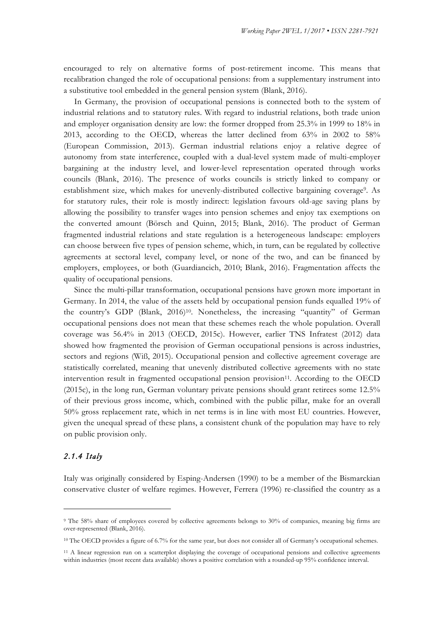encouraged to rely on alternative forms of post-retirement income. This means that recalibration changed the role of occupational pensions: from a supplementary instrument into a substitutive tool embedded in the general pension system (Blank, 2016).

In Germany, the provision of occupational pensions is connected both to the system of industrial relations and to statutory rules. With regard to industrial relations, both trade union and employer organisation density are low: the former dropped from 25.3% in 1999 to 18% in 2013, according to the OECD, whereas the latter declined from 63% in 2002 to 58% (European Commission, 2013). German industrial relations enjoy a relative degree of autonomy from state interference, coupled with a dual-level system made of multi-employer bargaining at the industry level, and lower-level representation operated through works councils (Blank, 2016). The presence of works councils is strictly linked to company or establishment size, which makes for unevenly-distributed collective bargaining coverage9. As for statutory rules, their role is mostly indirect: legislation favours old-age saving plans by allowing the possibility to transfer wages into pension schemes and enjoy tax exemptions on the converted amount (Börsch and Quinn, 2015; Blank, 2016). The product of German fragmented industrial relations and state regulation is a heterogeneous landscape: employers can choose between five types of pension scheme, which, in turn, can be regulated by collective agreements at sectoral level, company level, or none of the two, and can be financed by employers, employees, or both (Guardiancich, 2010; Blank, 2016). Fragmentation affects the quality of occupational pensions.

Since the multi-pillar transformation, occupational pensions have grown more important in Germany. In 2014, the value of the assets held by occupational pension funds equalled 19% of the country's GDP (Blank, 2016)10. Nonetheless, the increasing "quantity" of German occupational pensions does not mean that these schemes reach the whole population. Overall coverage was 56.4% in 2013 (OECD, 2015c). However, earlier TNS Infratest (2012) data showed how fragmented the provision of German occupational pensions is across industries, sectors and regions (Wiß, 2015). Occupational pension and collective agreement coverage are statistically correlated, meaning that unevenly distributed collective agreements with no state intervention result in fragmented occupational pension provision<sup>11</sup>. According to the OECD (2015c), in the long run, German voluntary private pensions should grant retirees some 12.5% of their previous gross income, which, combined with the public pillar, make for an overall 50% gross replacement rate, which in net terms is in line with most EU countries. However, given the unequal spread of these plans, a consistent chunk of the population may have to rely on public provision only.

#### *2.1.4 Italy*

<u> 1989 - Jan Samuel Barbara, margaret e</u>

Italy was originally considered by Esping-Andersen (1990) to be a member of the Bismarckian conservative cluster of welfare regimes. However, Ferrera (1996) re-classified the country as a

<sup>9</sup> The 58% share of employees covered by collective agreements belongs to 30% of companies, meaning big firms are over-represented (Blank, 2016).

<sup>&</sup>lt;sup>10</sup> The OECD provides a figure of 6.7% for the same year, but does not consider all of Germany's occupational schemes.

<sup>11</sup> A linear regression run on a scatterplot displaying the coverage of occupational pensions and collective agreements within industries (most recent data available) shows a positive correlation with a rounded-up 95% confidence interval.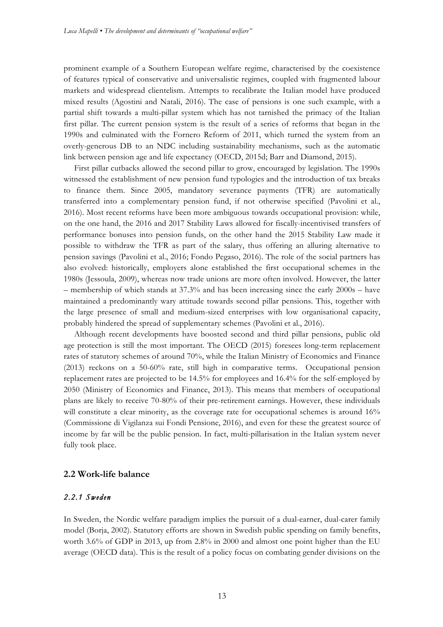prominent example of a Southern European welfare regime, characterised by the coexistence of features typical of conservative and universalistic regimes, coupled with fragmented labour markets and widespread clientelism. Attempts to recalibrate the Italian model have produced mixed results (Agostini and Natali, 2016). The case of pensions is one such example, with a partial shift towards a multi-pillar system which has not tarnished the primacy of the Italian first pillar. The current pension system is the result of a series of reforms that began in the 1990s and culminated with the Fornero Reform of 2011, which turned the system from an overly-generous DB to an NDC including sustainability mechanisms, such as the automatic link between pension age and life expectancy (OECD, 2015d; Barr and Diamond, 2015).

First pillar cutbacks allowed the second pillar to grow, encouraged by legislation. The 1990s witnessed the establishment of new pension fund typologies and the introduction of tax breaks to finance them. Since 2005, mandatory severance payments (TFR) are automatically transferred into a complementary pension fund, if not otherwise specified (Pavolini et al., 2016). Most recent reforms have been more ambiguous towards occupational provision: while, on the one hand, the 2016 and 2017 Stability Laws allowed for fiscally-incentivised transfers of performance bonuses into pension funds, on the other hand the 2015 Stability Law made it possible to withdraw the TFR as part of the salary, thus offering an alluring alternative to pension savings (Pavolini et al., 2016; Fondo Pegaso, 2016). The role of the social partners has also evolved: historically, employers alone established the first occupational schemes in the 1980s (Jessoula, 2009), whereas now trade unions are more often involved. However, the latter – membership of which stands at 37.3% and has been increasing since the early 2000s – have maintained a predominantly wary attitude towards second pillar pensions. This, together with the large presence of small and medium-sized enterprises with low organisational capacity, probably hindered the spread of supplementary schemes (Pavolini et al., 2016).

Although recent developments have boosted second and third pillar pensions, public old age protection is still the most important. The OECD (2015) foresees long-term replacement rates of statutory schemes of around 70%, while the Italian Ministry of Economics and Finance (2013) reckons on a 50-60% rate, still high in comparative terms. Occupational pension replacement rates are projected to be 14.5% for employees and 16.4% for the self-employed by 2050 (Ministry of Economics and Finance, 2013). This means that members of occupational plans are likely to receive 70-80% of their pre-retirement earnings. However, these individuals will constitute a clear minority, as the coverage rate for occupational schemes is around 16% (Commissione di Vigilanza sui Fondi Pensione, 2016), and even for these the greatest source of income by far will be the public pension. In fact, multi-pillarisation in the Italian system never fully took place.

#### **2.2 Work-life balance**

### *2.2.1 Sweden*

In Sweden, the Nordic welfare paradigm implies the pursuit of a dual-earner, dual-carer family model (Borja, 2002). Statutory efforts are shown in Swedish public spending on family benefits, worth 3.6% of GDP in 2013, up from 2.8% in 2000 and almost one point higher than the EU average (OECD data). This is the result of a policy focus on combating gender divisions on the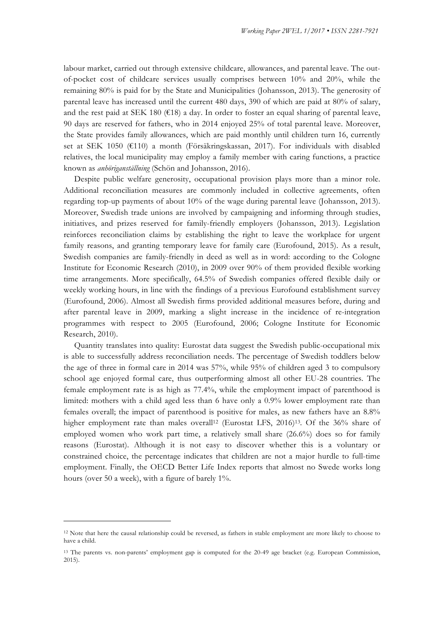labour market, carried out through extensive childcare, allowances, and parental leave. The outof-pocket cost of childcare services usually comprises between 10% and 20%, while the remaining 80% is paid for by the State and Municipalities (Johansson, 2013). The generosity of parental leave has increased until the current 480 days, 390 of which are paid at 80% of salary, and the rest paid at SEK 180 ( $\epsilon$ 18) a day. In order to foster an equal sharing of parental leave, 90 days are reserved for fathers, who in 2014 enjoyed 25% of total parental leave. Moreover, the State provides family allowances, which are paid monthly until children turn 16, currently set at SEK 1050 (€110) a month (Försäkringskassan, 2017). For individuals with disabled relatives, the local municipality may employ a family member with caring functions, a practice known as *anhöriganställning* (Schön and Johansson, 2016).

Despite public welfare generosity, occupational provision plays more than a minor role. Additional reconciliation measures are commonly included in collective agreements, often regarding top-up payments of about 10% of the wage during parental leave (Johansson, 2013). Moreover, Swedish trade unions are involved by campaigning and informing through studies, initiatives, and prizes reserved for family-friendly employers (Johansson, 2013). Legislation reinforces reconciliation claims by establishing the right to leave the workplace for urgent family reasons, and granting temporary leave for family care (Eurofound, 2015). As a result, Swedish companies are family-friendly in deed as well as in word: according to the Cologne Institute for Economic Research (2010), in 2009 over 90% of them provided flexible working time arrangements. More specifically, 64.5% of Swedish companies offered flexible daily or weekly working hours, in line with the findings of a previous Eurofound establishment survey (Eurofound, 2006). Almost all Swedish firms provided additional measures before, during and after parental leave in 2009, marking a slight increase in the incidence of re-integration programmes with respect to 2005 (Eurofound, 2006; Cologne Institute for Economic Research, 2010).

Quantity translates into quality: Eurostat data suggest the Swedish public-occupational mix is able to successfully address reconciliation needs. The percentage of Swedish toddlers below the age of three in formal care in 2014 was 57%, while 95% of children aged 3 to compulsory school age enjoyed formal care, thus outperforming almost all other EU-28 countries. The female employment rate is as high as 77.4%, while the employment impact of parenthood is limited: mothers with a child aged less than 6 have only a 0.9% lower employment rate than females overall; the impact of parenthood is positive for males, as new fathers have an 8.8% higher employment rate than males overall<sup>12</sup> (Eurostat LFS, 2016)<sup>13</sup>. Of the 36% share of employed women who work part time, a relatively small share (26.6%) does so for family reasons (Eurostat). Although it is not easy to discover whether this is a voluntary or constrained choice, the percentage indicates that children are not a major hurdle to full-time employment. Finally, the OECD Better Life Index reports that almost no Swede works long hours (over 50 a week), with a figure of barely 1%.

<u> 1989 - Jan Samuel Barbara, margaret e</u>

<sup>12</sup> Note that here the causal relationship could be reversed, as fathers in stable employment are more likely to choose to have a child.

<sup>13</sup> The parents vs. non-parents' employment gap is computed for the 20-49 age bracket (e.g. European Commission, 2015).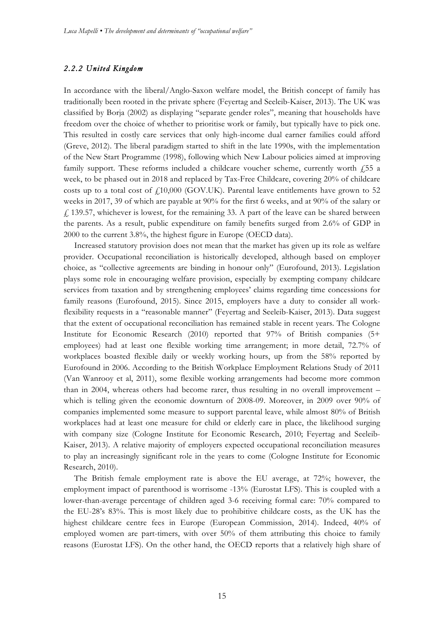#### *2.2.2 United Kingdom*

In accordance with the liberal/Anglo-Saxon welfare model, the British concept of family has traditionally been rooted in the private sphere (Feyertag and Seeleib-Kaiser, 2013). The UK was classified by Borja (2002) as displaying "separate gender roles", meaning that households have freedom over the choice of whether to prioritise work or family, but typically have to pick one. This resulted in costly care services that only high-income dual earner families could afford (Greve, 2012). The liberal paradigm started to shift in the late 1990s, with the implementation of the New Start Programme (1998), following which New Labour policies aimed at improving family support. These reforms included a childcare voucher scheme, currently worth  $\ddot{\gamma}$  for week, to be phased out in 2018 and replaced by Tax-Free Childcare, covering 20% of childcare costs up to a total cost of  $f<sub>1</sub>10,000$  (GOV.UK). Parental leave entitlements have grown to 52 weeks in 2017, 39 of which are payable at 90% for the first 6 weeks, and at 90% of the salary or  $f<sub>i</sub>$  139.57, whichever is lowest, for the remaining 33. A part of the leave can be shared between the parents. As a result, public expenditure on family benefits surged from 2.6% of GDP in 2000 to the current 3.8%, the highest figure in Europe (OECD data).

Increased statutory provision does not mean that the market has given up its role as welfare provider. Occupational reconciliation is historically developed, although based on employer choice, as "collective agreements are binding in honour only" (Eurofound, 2013). Legislation plays some role in encouraging welfare provision, especially by exempting company childcare services from taxation and by strengthening employees' claims regarding time concessions for family reasons (Eurofound, 2015). Since 2015, employers have a duty to consider all workflexibility requests in a "reasonable manner" (Feyertag and Seeleib-Kaiser, 2013). Data suggest that the extent of occupational reconciliation has remained stable in recent years. The Cologne Institute for Economic Research (2010) reported that 97% of British companies (5+ employees) had at least one flexible working time arrangement; in more detail, 72.7% of workplaces boasted flexible daily or weekly working hours, up from the 58% reported by Eurofound in 2006. According to the British Workplace Employment Relations Study of 2011 (Van Wanrooy et al, 2011), some flexible working arrangements had become more common than in 2004, whereas others had become rarer, thus resulting in no overall improvement – which is telling given the economic downturn of 2008-09. Moreover, in 2009 over 90% of companies implemented some measure to support parental leave, while almost 80% of British workplaces had at least one measure for child or elderly care in place, the likelihood surging with company size (Cologne Institute for Economic Research, 2010; Feyertag and Seeleib-Kaiser, 2013). A relative majority of employers expected occupational reconciliation measures to play an increasingly significant role in the years to come (Cologne Institute for Economic Research, 2010).

The British female employment rate is above the EU average, at 72%; however, the employment impact of parenthood is worrisome -13% (Eurostat LFS). This is coupled with a lower-than-average percentage of children aged 3-6 receiving formal care: 70% compared to the EU-28's 83%. This is most likely due to prohibitive childcare costs, as the UK has the highest childcare centre fees in Europe (European Commission, 2014). Indeed, 40% of employed women are part-timers, with over 50% of them attributing this choice to family reasons (Eurostat LFS). On the other hand, the OECD reports that a relatively high share of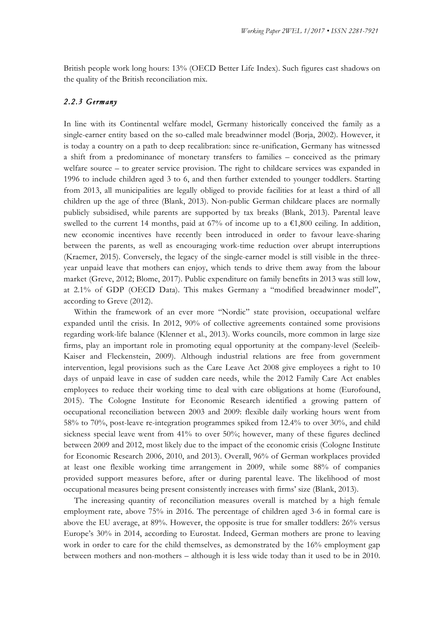British people work long hours: 13% (OECD Better Life Index). Such figures cast shadows on the quality of the British reconciliation mix.

### *2.2.3 Germany*

In line with its Continental welfare model, Germany historically conceived the family as a single-earner entity based on the so-called male breadwinner model (Borja, 2002). However, it is today a country on a path to deep recalibration: since re-unification, Germany has witnessed a shift from a predominance of monetary transfers to families – conceived as the primary welfare source – to greater service provision. The right to childcare services was expanded in 1996 to include children aged 3 to 6, and then further extended to younger toddlers. Starting from 2013, all municipalities are legally obliged to provide facilities for at least a third of all children up the age of three (Blank, 2013). Non-public German childcare places are normally publicly subsidised, while parents are supported by tax breaks (Blank, 2013). Parental leave swelled to the current 14 months, paid at 67% of income up to a  $\epsilon$ 1,800 ceiling. In addition, new economic incentives have recently been introduced in order to favour leave-sharing between the parents, as well as encouraging work-time reduction over abrupt interruptions (Kraemer, 2015). Conversely, the legacy of the single-earner model is still visible in the threeyear unpaid leave that mothers can enjoy, which tends to drive them away from the labour market (Greve, 2012; Blome, 2017). Public expenditure on family benefits in 2013 was still low, at 2.1% of GDP (OECD Data). This makes Germany a "modified breadwinner model", according to Greve (2012).

Within the framework of an ever more "Nordic" state provision, occupational welfare expanded until the crisis. In 2012, 90% of collective agreements contained some provisions regarding work-life balance (Klenner et al., 2013). Works councils, more common in large size firms, play an important role in promoting equal opportunity at the company-level (Seeleib-Kaiser and Fleckenstein, 2009). Although industrial relations are free from government intervention, legal provisions such as the Care Leave Act 2008 give employees a right to 10 days of unpaid leave in case of sudden care needs, while the 2012 Family Care Act enables employees to reduce their working time to deal with care obligations at home (Eurofound, 2015). The Cologne Institute for Economic Research identified a growing pattern of occupational reconciliation between 2003 and 2009: flexible daily working hours went from 58% to 70%, post-leave re-integration programmes spiked from 12.4% to over 30%, and child sickness special leave went from 41% to over 50%; however, many of these figures declined between 2009 and 2012, most likely due to the impact of the economic crisis (Cologne Institute for Economic Research 2006, 2010, and 2013). Overall, 96% of German workplaces provided at least one flexible working time arrangement in 2009, while some 88% of companies provided support measures before, after or during parental leave. The likelihood of most occupational measures being present consistently increases with firms' size (Blank, 2013).

The increasing quantity of reconciliation measures overall is matched by a high female employment rate, above 75% in 2016. The percentage of children aged 3-6 in formal care is above the EU average, at 89%. However, the opposite is true for smaller toddlers: 26% versus Europe's 30% in 2014, according to Eurostat. Indeed, German mothers are prone to leaving work in order to care for the child themselves, as demonstrated by the 16% employment gap between mothers and non-mothers – although it is less wide today than it used to be in 2010.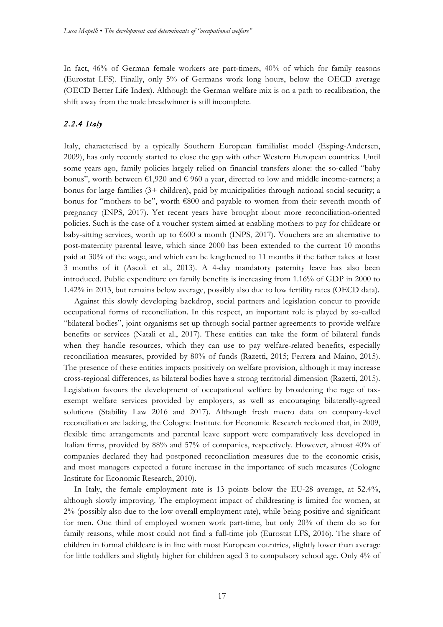In fact, 46% of German female workers are part-timers, 40% of which for family reasons (Eurostat LFS). Finally, only 5% of Germans work long hours, below the OECD average (OECD Better Life Index). Although the German welfare mix is on a path to recalibration, the shift away from the male breadwinner is still incomplete.

### *2.2.4 Italy*

Italy, characterised by a typically Southern European familialist model (Esping-Andersen, 2009), has only recently started to close the gap with other Western European countries. Until some years ago, family policies largely relied on financial transfers alone: the so-called "baby bonus", worth between  $\epsilon 1,920$  and  $\epsilon 960$  a year, directed to low and middle income-earners; a bonus for large families (3+ children), paid by municipalities through national social security; a bonus for "mothers to be", worth €800 and payable to women from their seventh month of pregnancy (INPS, 2017). Yet recent years have brought about more reconciliation-oriented policies. Such is the case of a voucher system aimed at enabling mothers to pay for childcare or baby-sitting services, worth up to  $\epsilon$ 600 a month (INPS, 2017). Vouchers are an alternative to post-maternity parental leave, which since 2000 has been extended to the current 10 months paid at 30% of the wage, and which can be lengthened to 11 months if the father takes at least 3 months of it (Ascoli et al., 2013). A 4-day mandatory paternity leave has also been introduced. Public expenditure on family benefits is increasing from 1.16% of GDP in 2000 to 1.42% in 2013, but remains below average, possibly also due to low fertility rates (OECD data).

Against this slowly developing backdrop, social partners and legislation concur to provide occupational forms of reconciliation. In this respect, an important role is played by so-called "bilateral bodies", joint organisms set up through social partner agreements to provide welfare benefits or services (Natali et al., 2017). These entities can take the form of bilateral funds when they handle resources, which they can use to pay welfare-related benefits, especially reconciliation measures, provided by 80% of funds (Razetti, 2015; Ferrera and Maino, 2015). The presence of these entities impacts positively on welfare provision, although it may increase cross-regional differences, as bilateral bodies have a strong territorial dimension (Razetti, 2015). Legislation favours the development of occupational welfare by broadening the rage of taxexempt welfare services provided by employers, as well as encouraging bilaterally-agreed solutions (Stability Law 2016 and 2017). Although fresh macro data on company-level reconciliation are lacking, the Cologne Institute for Economic Research reckoned that, in 2009, flexible time arrangements and parental leave support were comparatively less developed in Italian firms, provided by 88% and 57% of companies, respectively. However, almost 40% of companies declared they had postponed reconciliation measures due to the economic crisis, and most managers expected a future increase in the importance of such measures (Cologne Institute for Economic Research, 2010).

In Italy, the female employment rate is 13 points below the EU-28 average, at 52.4%, although slowly improving. The employment impact of childrearing is limited for women, at 2% (possibly also due to the low overall employment rate), while being positive and significant for men. One third of employed women work part-time, but only 20% of them do so for family reasons, while most could not find a full-time job (Eurostat LFS, 2016). The share of children in formal childcare is in line with most European countries, slightly lower than average for little toddlers and slightly higher for children aged 3 to compulsory school age. Only 4% of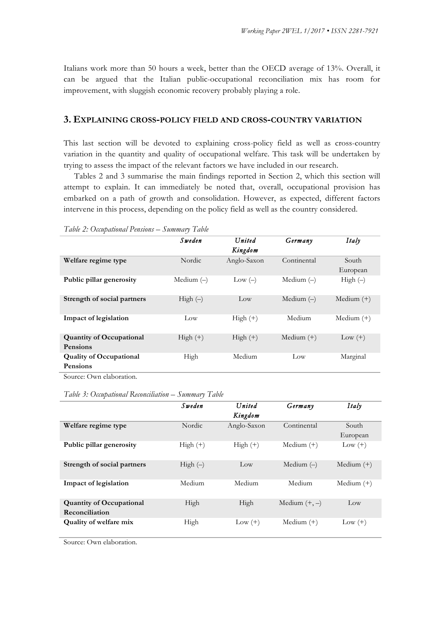Italians work more than 50 hours a week, better than the OECD average of 13%. Overall, it can be argued that the Italian public-occupational reconciliation mix has room for improvement, with sluggish economic recovery probably playing a role.

#### **3. EXPLAINING CROSS-POLICY FIELD AND CROSS-COUNTRY VARIATION**

This last section will be devoted to explaining cross-policy field as well as cross-country variation in the quantity and quality of occupational welfare. This task will be undertaken by trying to assess the impact of the relevant factors we have included in our research.

Tables 2 and 3 summarise the main findings reported in Section 2, which this section will attempt to explain. It can immediately be noted that, overall, occupational provision has embarked on a path of growth and consolidation. However, as expected, different factors intervene in this process, depending on the policy field as well as the country considered.

|                                                    | Sweden       | United<br>Kingdom | Germany      | Italy             |
|----------------------------------------------------|--------------|-------------------|--------------|-------------------|
| Welfare regime type                                | Nordic.      | Anglo-Saxon       | Continental  | South<br>European |
| Public pillar generosity                           | Medium $(-)$ | $Low(-)$          | Medium $(-)$ | High $(-)$        |
| Strength of social partners                        | $High (-)$   | Low               | Medium $(-)$ | Medium $(+)$      |
| Impact of legislation                              | Low          | $High (+)$        | Medium       | Medium $(+)$      |
| <b>Quantity of Occupational</b><br><b>Pensions</b> | $High (+)$   | $High (+)$        | Medium $(+)$ | $Low (+)$         |
| <b>Quality of Occupational</b><br><b>Pensions</b>  | High         | Medium            | Low          | Marginal          |
| Source: Own elaboration.                           |              |                   |              |                   |

*Table 2: Occupational Pensions – Summary Table*

*Table 3: Occupational Reconciliation – Summary Table*

|                                                   | Sweden     | United<br>Kingdom | Germany         | Italy             |
|---------------------------------------------------|------------|-------------------|-----------------|-------------------|
| Welfare regime type                               | Nordic.    | Anglo-Saxon       | Continental     | South<br>European |
| Public pillar generosity                          | $High (+)$ | $High (+)$        | Medium $(+)$    | $Low (+)$         |
| Strength of social partners                       | $High(-)$  | Low               | Medium $(-)$    | Medium $(+)$      |
| Impact of legislation                             | Medium     | Medium            | Medium          | Medium $(+)$      |
| <b>Quantity of Occupational</b><br>Reconciliation | High       | High              | Medium $(+, -)$ | Low               |
| Quality of welfare mix                            | High       | $Low (+)$         | Medium $(+)$    | $Low (+)$         |

Source: Own elaboration.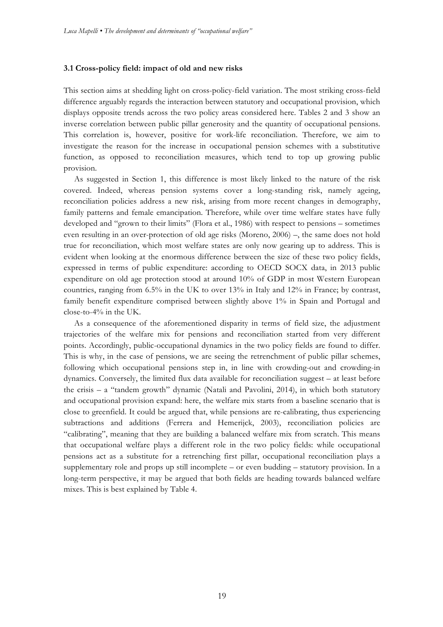#### **3.1 Cross-policy field: impact of old and new risks**

This section aims at shedding light on cross-policy-field variation. The most striking cross-field difference arguably regards the interaction between statutory and occupational provision, which displays opposite trends across the two policy areas considered here. Tables 2 and 3 show an inverse correlation between public pillar generosity and the quantity of occupational pensions. This correlation is, however, positive for work-life reconciliation. Therefore, we aim to investigate the reason for the increase in occupational pension schemes with a substitutive function, as opposed to reconciliation measures, which tend to top up growing public provision.

As suggested in Section 1, this difference is most likely linked to the nature of the risk covered. Indeed, whereas pension systems cover a long-standing risk, namely ageing, reconciliation policies address a new risk, arising from more recent changes in demography, family patterns and female emancipation. Therefore, while over time welfare states have fully developed and "grown to their limits" (Flora et al., 1986) with respect to pensions – sometimes even resulting in an over-protection of old age risks (Moreno, 2006) –, the same does not hold true for reconciliation, which most welfare states are only now gearing up to address. This is evident when looking at the enormous difference between the size of these two policy fields, expressed in terms of public expenditure: according to OECD SOCX data, in 2013 public expenditure on old age protection stood at around 10% of GDP in most Western European countries, ranging from 6.5% in the UK to over 13% in Italy and 12% in France; by contrast, family benefit expenditure comprised between slightly above 1% in Spain and Portugal and close-to-4% in the UK.

As a consequence of the aforementioned disparity in terms of field size, the adjustment trajectories of the welfare mix for pensions and reconciliation started from very different points. Accordingly, public-occupational dynamics in the two policy fields are found to differ. This is why, in the case of pensions, we are seeing the retrenchment of public pillar schemes, following which occupational pensions step in, in line with crowding-out and crowding-in dynamics. Conversely, the limited flux data available for reconciliation suggest – at least before the crisis – a "tandem growth" dynamic (Natali and Pavolini, 2014), in which both statutory and occupational provision expand: here, the welfare mix starts from a baseline scenario that is close to greenfield. It could be argued that, while pensions are re-calibrating, thus experiencing subtractions and additions (Ferrera and Hemerijck, 2003), reconciliation policies are "calibrating", meaning that they are building a balanced welfare mix from scratch. This means that occupational welfare plays a different role in the two policy fields: while occupational pensions act as a substitute for a retrenching first pillar, occupational reconciliation plays a supplementary role and props up still incomplete – or even budding – statutory provision. In a long-term perspective, it may be argued that both fields are heading towards balanced welfare mixes. This is best explained by Table 4.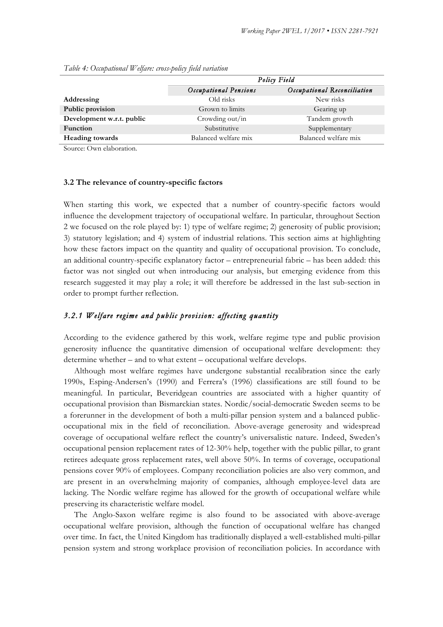|                           | Policy Field          |                             |  |
|---------------------------|-----------------------|-----------------------------|--|
|                           | Occupational Pensions | Occupational Reconciliation |  |
| Addressing                | Old risks             | New risks                   |  |
| Public provision          | Grown to limits       | Gearing up                  |  |
| Development w.r.t. public | Crowding out/in       | Tandem growth               |  |
| <b>Function</b>           | Substitutive          | Supplementary               |  |
| <b>Heading towards</b>    | Balanced welfare mix  | Balanced welfare mix        |  |

*Table 4: Occupational Welfare: cross-policy field variation*

Source: Own elaboration.

#### **3.2 The relevance of country-specific factors**

When starting this work, we expected that a number of country-specific factors would influence the development trajectory of occupational welfare. In particular, throughout Section 2 we focused on the role played by: 1) type of welfare regime; 2) generosity of public provision; 3) statutory legislation; and 4) system of industrial relations. This section aims at highlighting how these factors impact on the quantity and quality of occupational provision. To conclude, an additional country-specific explanatory factor – entrepreneurial fabric – has been added: this factor was not singled out when introducing our analysis, but emerging evidence from this research suggested it may play a role; it will therefore be addressed in the last sub-section in order to prompt further reflection.

#### *3.2.1 Welfare regime and public provision: affecting quantity*

According to the evidence gathered by this work, welfare regime type and public provision generosity influence the quantitative dimension of occupational welfare development: they determine whether – and to what extent – occupational welfare develops.

Although most welfare regimes have undergone substantial recalibration since the early 1990s, Esping-Andersen's (1990) and Ferrera's (1996) classifications are still found to be meaningful. In particular, Beveridgean countries are associated with a higher quantity of occupational provision than Bismarckian states. Nordic/social-democratic Sweden seems to be a forerunner in the development of both a multi-pillar pension system and a balanced publicoccupational mix in the field of reconciliation. Above-average generosity and widespread coverage of occupational welfare reflect the country's universalistic nature. Indeed, Sweden's occupational pension replacement rates of 12-30% help, together with the public pillar, to grant retirees adequate gross replacement rates, well above 50%. In terms of coverage, occupational pensions cover 90% of employees. Company reconciliation policies are also very common, and are present in an overwhelming majority of companies, although employee-level data are lacking. The Nordic welfare regime has allowed for the growth of occupational welfare while preserving its characteristic welfare model.

The Anglo-Saxon welfare regime is also found to be associated with above-average occupational welfare provision, although the function of occupational welfare has changed over time. In fact, the United Kingdom has traditionally displayed a well-established multi-pillar pension system and strong workplace provision of reconciliation policies. In accordance with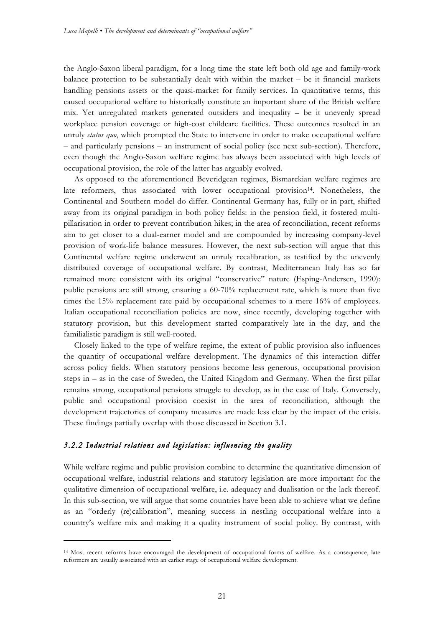the Anglo-Saxon liberal paradigm, for a long time the state left both old age and family-work balance protection to be substantially dealt with within the market – be it financial markets handling pensions assets or the quasi-market for family services. In quantitative terms, this caused occupational welfare to historically constitute an important share of the British welfare mix. Yet unregulated markets generated outsiders and inequality – be it unevenly spread workplace pension coverage or high-cost childcare facilities. These outcomes resulted in an unruly *status quo*, which prompted the State to intervene in order to make occupational welfare – and particularly pensions – an instrument of social policy (see next sub-section). Therefore, even though the Anglo-Saxon welfare regime has always been associated with high levels of occupational provision, the role of the latter has arguably evolved.

As opposed to the aforementioned Beveridgean regimes, Bismarckian welfare regimes are late reformers, thus associated with lower occupational provision<sup>14</sup>. Nonetheless, the Continental and Southern model do differ. Continental Germany has, fully or in part, shifted away from its original paradigm in both policy fields: in the pension field, it fostered multipillarisation in order to prevent contribution hikes; in the area of reconciliation, recent reforms aim to get closer to a dual-earner model and are compounded by increasing company-level provision of work-life balance measures. However, the next sub-section will argue that this Continental welfare regime underwent an unruly recalibration, as testified by the unevenly distributed coverage of occupational welfare. By contrast, Mediterranean Italy has so far remained more consistent with its original "conservative" nature (Esping-Andersen, 1990): public pensions are still strong, ensuring a 60-70% replacement rate, which is more than five times the 15% replacement rate paid by occupational schemes to a mere 16% of employees. Italian occupational reconciliation policies are now, since recently, developing together with statutory provision, but this development started comparatively late in the day, and the familialistic paradigm is still well-rooted.

Closely linked to the type of welfare regime, the extent of public provision also influences the quantity of occupational welfare development. The dynamics of this interaction differ across policy fields. When statutory pensions become less generous, occupational provision steps in – as in the case of Sweden, the United Kingdom and Germany. When the first pillar remains strong, occupational pensions struggle to develop, as in the case of Italy. Conversely, public and occupational provision coexist in the area of reconciliation, although the development trajectories of company measures are made less clear by the impact of the crisis. These findings partially overlap with those discussed in Section 3.1.

## *3.2.2 Industrial relations and legislation: influencing the quality*

<u> 1989 - Jan Samuel Barbara, margaret e</u>

While welfare regime and public provision combine to determine the quantitative dimension of occupational welfare, industrial relations and statutory legislation are more important for the qualitative dimension of occupational welfare, i.e. adequacy and dualisation or the lack thereof. In this sub-section, we will argue that some countries have been able to achieve what we define as an "orderly (re)calibration", meaning success in nestling occupational welfare into a country's welfare mix and making it a quality instrument of social policy. By contrast, with

<sup>14</sup> Most recent reforms have encouraged the development of occupational forms of welfare. As a consequence, late reformers are usually associated with an earlier stage of occupational welfare development.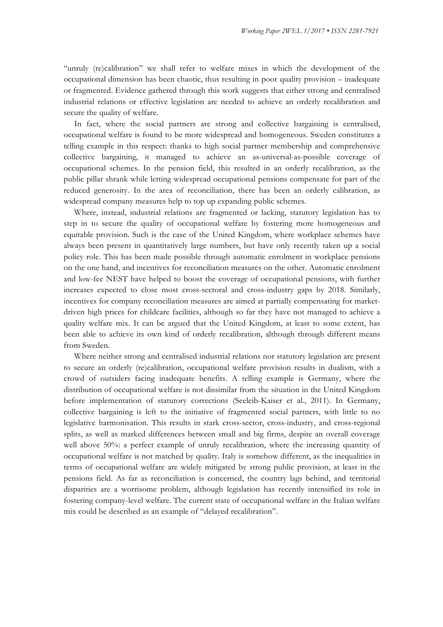"unruly (re)calibration" we shall refer to welfare mixes in which the development of the occupational dimension has been chaotic, thus resulting in poor quality provision – inadequate or fragmented. Evidence gathered through this work suggests that either strong and centralised industrial relations or effective legislation are needed to achieve an orderly recalibration and secure the quality of welfare.

In fact, where the social partners are strong and collective bargaining is centralised, occupational welfare is found to be more widespread and homogeneous. Sweden constitutes a telling example in this respect: thanks to high social partner membership and comprehensive collective bargaining, it managed to achieve an as-universal-as-possible coverage of occupational schemes. In the pension field, this resulted in an orderly recalibration, as the public pillar shrank while letting widespread occupational pensions compensate for part of the reduced generosity. In the area of reconciliation, there has been an orderly calibration, as widespread company measures help to top up expanding public schemes.

Where, instead, industrial relations are fragmented or lacking, statutory legislation has to step in to secure the quality of occupational welfare by fostering more homogeneous and equitable provision. Such is the case of the United Kingdom, where workplace schemes have always been present in quantitatively large numbers, but have only recently taken up a social policy role. This has been made possible through automatic enrolment in workplace pensions on the one hand, and incentives for reconciliation measures on the other. Automatic enrolment and low-fee NEST have helped to boost the coverage of occupational pensions, with further increases expected to close most cross-sectoral and cross-industry gaps by 2018. Similarly, incentives for company reconciliation measures are aimed at partially compensating for marketdriven high prices for childcare facilities, although so far they have not managed to achieve a quality welfare mix. It can be argued that the United Kingdom, at least to some extent, has been able to achieve its own kind of orderly recalibration, although through different means from Sweden.

Where neither strong and centralised industrial relations nor statutory legislation are present to secure an orderly (re)calibration, occupational welfare provision results in dualism, with a crowd of outsiders facing inadequate benefits. A telling example is Germany, where the distribution of occupational welfare is not dissimilar from the situation in the United Kingdom before implementation of statutory corrections (Seeleib-Kaiser et al., 2011). In Germany, collective bargaining is left to the initiative of fragmented social partners, with little to no legislative harmonisation. This results in stark cross-sector, cross-industry, and cross-regional splits, as well as marked differences between small and big firms, despite an overall coverage well above 50%: a perfect example of unruly recalibration, where the increasing quantity of occupational welfare is not matched by quality. Italy is somehow different, as the inequalities in terms of occupational welfare are widely mitigated by strong public provision, at least in the pensions field. As far as reconciliation is concerned, the country lags behind, and territorial disparities are a worrisome problem, although legislation has recently intensified its role in fostering company-level welfare. The current state of occupational welfare in the Italian welfare mix could be described as an example of "delayed recalibration".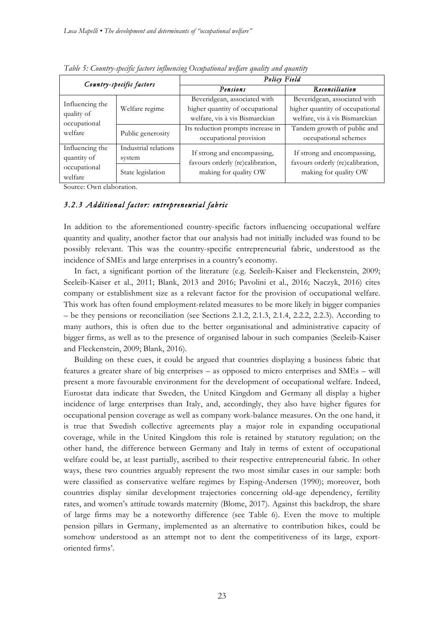| Country-specific factors              |                      | Policy Field                      |                                  |  |  |  |
|---------------------------------------|----------------------|-----------------------------------|----------------------------------|--|--|--|
|                                       |                      | Pensions                          | Reconciliation                   |  |  |  |
|                                       |                      | Beveridgean, associated with      | Beveridgean, associated with     |  |  |  |
| Influencing the                       | Welfare regime       | higher quantity of occupational   | higher quantity of occupational  |  |  |  |
| quality of<br>occupational<br>welfare |                      | welfare, vis à vis Bismarckian    | welfare, vis à vis Bismarckian   |  |  |  |
|                                       | Public generosity    | Its reduction prompts increase in | Tandem growth of public and      |  |  |  |
|                                       |                      | occupational provision            | occupational schemes             |  |  |  |
| Influencing the                       | Industrial relations |                                   | If strong and encompassing,      |  |  |  |
| quantity of                           | system               | If strong and encompassing,       |                                  |  |  |  |
| occupational                          |                      | favours orderly (re)calibration,  | favours orderly (re)calibration, |  |  |  |
| welfare                               | State legislation    | making for quality OW             | making for quality OW            |  |  |  |

*Table 5: Country-specific factors influencing Occupational welfare quality and quantity*

Source: Own elaboration.

## *3.2.3 Additional factor: entrepreneurial fabric*

In addition to the aforementioned country-specific factors influencing occupational welfare quantity and quality, another factor that our analysis had not initially included was found to be possibly relevant. This was the country-specific entrepreneurial fabric, understood as the incidence of SMEs and large enterprises in a country's economy.

In fact, a significant portion of the literature (e.g. Seeleib-Kaiser and Fleckenstein, 2009; Seeleib-Kaiser et al., 2011; Blank, 2013 and 2016; Pavolini et al., 2016; Naczyk, 2016) cites company or establishment size as a relevant factor for the provision of occupational welfare. This work has often found employment-related measures to be more likely in bigger companies – be they pensions or reconciliation (see Sections 2.1.2, 2.1.3, 2.1.4, 2.2.2, 2.2.3). According to many authors, this is often due to the better organisational and administrative capacity of bigger firms, as well as to the presence of organised labour in such companies (Seeleib-Kaiser and Fleckenstein, 2009; Blank, 2016).

Building on these cues, it could be argued that countries displaying a business fabric that features a greater share of big enterprises – as opposed to micro enterprises and SMEs – will present a more favourable environment for the development of occupational welfare. Indeed, Eurostat data indicate that Sweden, the United Kingdom and Germany all display a higher incidence of large enterprises than Italy, and, accordingly, they also have higher figures for occupational pension coverage as well as company work-balance measures. On the one hand, it is true that Swedish collective agreements play a major role in expanding occupational coverage, while in the United Kingdom this role is retained by statutory regulation; on the other hand, the difference between Germany and Italy in terms of extent of occupational welfare could be, at least partially, ascribed to their respective entrepreneurial fabric. In other ways, these two countries arguably represent the two most similar cases in our sample: both were classified as conservative welfare regimes by Esping-Andersen (1990); moreover, both countries display similar development trajectories concerning old-age dependency, fertility rates, and women's attitude towards maternity (Blome, 2017). Against this backdrop, the share of large firms may be a noteworthy difference (see Table 6). Even the move to multiple pension pillars in Germany, implemented as an alternative to contribution hikes, could be somehow understood as an attempt not to dent the competitiveness of its large, exportoriented firms'.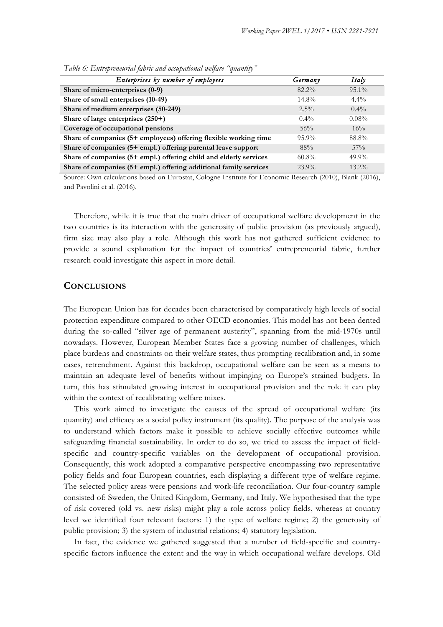| Enterprises by number of employees                                | Germany  | Italy    |
|-------------------------------------------------------------------|----------|----------|
| Share of micro-enterprises (0-9)                                  | $82.2\%$ | $95.1\%$ |
| Share of small enterprises (10-49)                                | $14.8\%$ | $4.4\%$  |
| Share of medium enterprises (50-249)                              | $2.5\%$  | $0.4\%$  |
| Share of large enterprises (250+)                                 | $0.4\%$  | $0.08\%$ |
| Coverage of occupational pensions                                 | 56%      | 16%      |
| Share of companies (5+ employees) offering flexible working time  | $95.9\%$ | 88.8%    |
| Share of companies (5+ empl.) offering parental leave support     | 88%      | 57%      |
| Share of companies (5+ empl.) offering child and elderly services | $60.8\%$ | $49.9\%$ |
| Share of companies (5+ empl.) offering additional family services | $23.9\%$ | $13.2\%$ |

*Table 6: Entrepreneurial fabric and occupational welfare "quantity"*

Source: Own calculations based on Eurostat, Cologne Institute for Economic Research (2010), Blank (2016), and Pavolini et al. (2016).

Therefore, while it is true that the main driver of occupational welfare development in the two countries is its interaction with the generosity of public provision (as previously argued), firm size may also play a role. Although this work has not gathered sufficient evidence to provide a sound explanation for the impact of countries' entrepreneurial fabric, further research could investigate this aspect in more detail.

#### **CONCLUSIONS**

The European Union has for decades been characterised by comparatively high levels of social protection expenditure compared to other OECD economies. This model has not been dented during the so-called "silver age of permanent austerity", spanning from the mid-1970s until nowadays. However, European Member States face a growing number of challenges, which place burdens and constraints on their welfare states, thus prompting recalibration and, in some cases, retrenchment. Against this backdrop, occupational welfare can be seen as a means to maintain an adequate level of benefits without impinging on Europe's strained budgets. In turn, this has stimulated growing interest in occupational provision and the role it can play within the context of recalibrating welfare mixes.

This work aimed to investigate the causes of the spread of occupational welfare (its quantity) and efficacy as a social policy instrument (its quality). The purpose of the analysis was to understand which factors make it possible to achieve socially effective outcomes while safeguarding financial sustainability. In order to do so, we tried to assess the impact of fieldspecific and country-specific variables on the development of occupational provision. Consequently, this work adopted a comparative perspective encompassing two representative policy fields and four European countries, each displaying a different type of welfare regime. The selected policy areas were pensions and work-life reconciliation. Our four-country sample consisted of: Sweden, the United Kingdom, Germany, and Italy. We hypothesised that the type of risk covered (old vs. new risks) might play a role across policy fields, whereas at country level we identified four relevant factors: 1) the type of welfare regime; 2) the generosity of public provision; 3) the system of industrial relations; 4) statutory legislation.

In fact, the evidence we gathered suggested that a number of field-specific and countryspecific factors influence the extent and the way in which occupational welfare develops. Old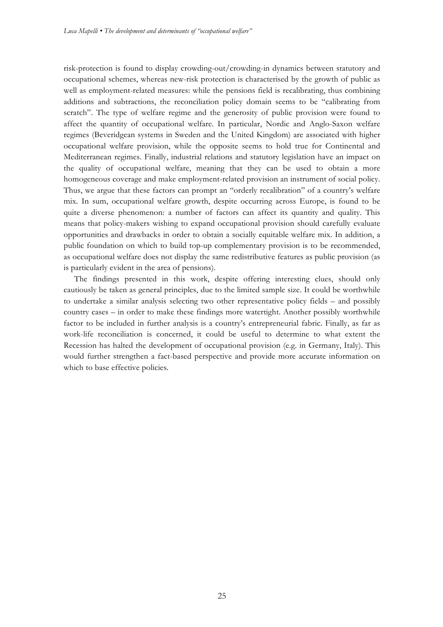risk-protection is found to display crowding-out/crowding-in dynamics between statutory and occupational schemes, whereas new-risk protection is characterised by the growth of public as well as employment-related measures: while the pensions field is recalibrating, thus combining additions and subtractions, the reconciliation policy domain seems to be "calibrating from scratch". The type of welfare regime and the generosity of public provision were found to affect the quantity of occupational welfare. In particular, Nordic and Anglo-Saxon welfare regimes (Beveridgean systems in Sweden and the United Kingdom) are associated with higher occupational welfare provision, while the opposite seems to hold true for Continental and Mediterranean regimes. Finally, industrial relations and statutory legislation have an impact on the quality of occupational welfare, meaning that they can be used to obtain a more homogeneous coverage and make employment-related provision an instrument of social policy. Thus, we argue that these factors can prompt an "orderly recalibration" of a country's welfare mix. In sum, occupational welfare growth, despite occurring across Europe, is found to be quite a diverse phenomenon: a number of factors can affect its quantity and quality. This means that policy-makers wishing to expand occupational provision should carefully evaluate opportunities and drawbacks in order to obtain a socially equitable welfare mix. In addition, a public foundation on which to build top-up complementary provision is to be recommended, as occupational welfare does not display the same redistributive features as public provision (as is particularly evident in the area of pensions).

The findings presented in this work, despite offering interesting clues, should only cautiously be taken as general principles, due to the limited sample size. It could be worthwhile to undertake a similar analysis selecting two other representative policy fields – and possibly country cases – in order to make these findings more watertight. Another possibly worthwhile factor to be included in further analysis is a country's entrepreneurial fabric. Finally, as far as work-life reconciliation is concerned, it could be useful to determine to what extent the Recession has halted the development of occupational provision (e.g. in Germany, Italy). This would further strengthen a fact-based perspective and provide more accurate information on which to base effective policies.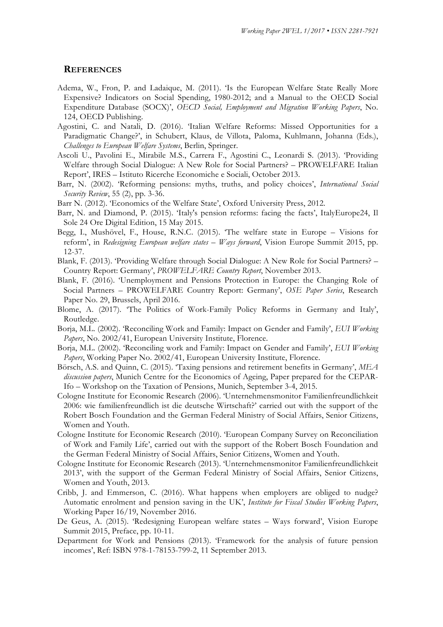#### **REFERENCES**

- Adema, W., Fron, P. and Ladaique, M. (2011). 'Is the European Welfare State Really More Expensive? Indicators on Social Spending, 1980-2012; and a Manual to the OECD Social Expenditure Database (SOCX)', *OECD Social, Employment and Migration Working Papers*, No. 124, OECD Publishing.
- Agostini, C. and Natali, D. (2016). 'Italian Welfare Reforms: Missed Opportunities for a Paradigmatic Change?', in Schubert, Klaus, de Villota, Paloma, Kuhlmann, Johanna (Eds.), *Challenges to European Welfare Systems*, Berlin, Springer.
- Ascoli U., Pavolini E., Mirabile M.S., Carrera F., Agostini C., Leonardi S. (2013). 'Providing Welfare through Social Dialogue: A New Role for Social Partners? – PROWELFARE Italian Report', IRES – Istituto Ricerche Economiche e Sociali, October 2013.
- Barr, N. (2002). 'Reforming pensions: myths, truths, and policy choices', *International Social Security Review*, 55 (2), pp. 3-36.
- Barr N. (2012). 'Economics of the Welfare State', Oxford University Press, 2012.
- Barr, N. and Diamond, P. (2015). 'Italy's pension reforms: facing the facts', ItalyEurope24, Il Sole 24 Ore Digital Edition, 15 May 2015.
- Begg, I., Mushövel, F., House, R.N.C. (2015). 'The welfare state in Europe Visions for reform', in *Redesigning European welfare states – Ways forward*, Vision Europe Summit 2015, pp. 12-37.
- Blank, F. (2013). 'Providing Welfare through Social Dialogue: A New Role for Social Partners? Country Report: Germany', *PROWELFARE Country Report*, November 2013.
- Blank, F. (2016). 'Unemployment and Pensions Protection in Europe: the Changing Role of Social Partners – PROWELFARE Country Report: Germany', *OSE Paper Series*, Research Paper No. 29, Brussels, April 2016.
- Blome, A. (2017). 'The Politics of Work-Family Policy Reforms in Germany and Italy', Routledge.
- Borja, M.L. (2002). 'Reconciling Work and Family: Impact on Gender and Family', *EUI Working Papers*, No. 2002/41, European University Institute, Florence.
- Borja, M.L. (2002). 'Reconciling work and Family: Impact on Gender and Family', *EUI Working Papers*, Working Paper No. 2002/41, European University Institute, Florence.
- Börsch, A.S. and Quinn, C. (2015). 'Taxing pensions and retirement benefits in Germany', *MEA discussion papers*, Munich Centre for the Economics of Ageing, Paper prepared for the CEPAR-Ifo – Workshop on the Taxation of Pensions, Munich, September 3-4, 2015.
- Cologne Institute for Economic Research (2006). 'Unternehmensmonitor Familienfreundlichkeit 2006: wie familienfreundlich ist die deutsche Wirtschaft?' carried out with the support of the Robert Bosch Foundation and the German Federal Ministry of Social Affairs, Senior Citizens, Women and Youth.
- Cologne Institute for Economic Research (2010). 'European Company Survey on Reconciliation of Work and Family Life', carried out with the support of the Robert Bosch Foundation and the German Federal Ministry of Social Affairs, Senior Citizens, Women and Youth.
- Cologne Institute for Economic Research (2013). 'Unternehmensmonitor Familienfreundlichkeit 2013', with the support of the German Federal Ministry of Social Affairs, Senior Citizens, Women and Youth, 2013.
- Cribb, J. and Emmerson, C. (2016). What happens when employers are obliged to nudge? Automatic enrolment and pension saving in the UK', *Institute for Fiscal Studies Working Papers*, Working Paper 16/19, November 2016.
- De Geus, A. (2015). 'Redesigning European welfare states Ways forward', Vision Europe Summit 2015, Preface, pp. 10-11.
- Department for Work and Pensions (2013). 'Framework for the analysis of future pension incomes', Ref: ISBN 978-1-78153-799-2, 11 September 2013.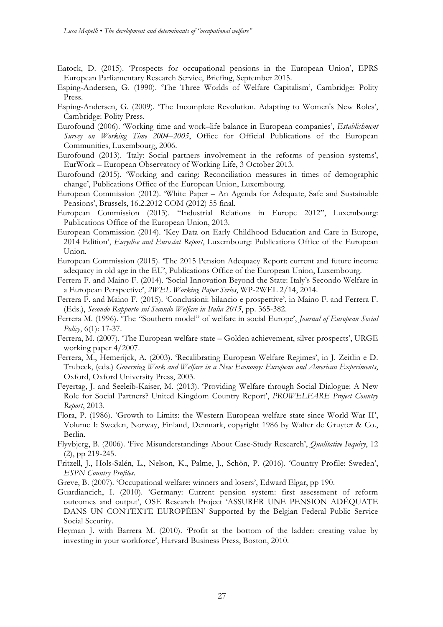- Eatock, D. (2015). 'Prospects for occupational pensions in the European Union', EPRS European Parliamentary Research Service, Briefing, September 2015.
- Esping-Andersen, G. (1990). 'The Three Worlds of Welfare Capitalism', Cambridge: Polity Press.
- Esping-Andersen, G. (2009). 'The Incomplete Revolution. Adapting to Women's New Roles', Cambridge: Polity Press.
- Eurofound (2006). 'Working time and work–life balance in European companies', *Establishment Survey on Working Time 2004–2005*, Office for Official Publications of the European Communities, Luxembourg, 2006.
- Eurofound (2013). 'Italy: Social partners involvement in the reforms of pension systems', EurWork – European Observatory of Working Life, 3 October 2013.
- Eurofound (2015). 'Working and caring: Reconciliation measures in times of demographic change', Publications Office of the European Union, Luxembourg.
- European Commission (2012). 'White Paper An Agenda for Adequate, Safe and Sustainable Pensions', Brussels, 16.2.2012 COM (2012) 55 final.
- European Commission (2013). "Industrial Relations in Europe 2012", Luxembourg: Publications Office of the European Union, 2013.
- European Commission (2014). 'Key Data on Early Childhood Education and Care in Europe, 2014 Edition', *Eurydice and Eurostat Report*, Luxembourg: Publications Office of the European Union.
- European Commission (2015). 'The 2015 Pension Adequacy Report: current and future income adequacy in old age in the EU', Publications Office of the European Union, Luxembourg.
- Ferrera F. and Maino F. (2014). 'Social Innovation Beyond the State: Italy's Secondo Welfare in a European Perspective', *2WEL Working Paper Series*, WP-2WEL 2/14, 2014.
- Ferrera F. and Maino F. (2015). 'Conclusioni: bilancio e prospettive', in Maino F. and Ferrera F. (Eds.), *Secondo Rapporto sul Secondo Welfare in Italia 2015*, pp. 365-382.
- Ferrera M. (1996). 'The "Southern model" of welfare in social Europe', *Journal of European Social Policy*, 6(1): 17-37.
- Ferrera, M. (2007). 'The European welfare state Golden achievement, silver prospects', URGE working paper 4/2007.
- Ferrera, M., Hemerijck, A. (2003). 'Recalibrating European Welfare Regimes', in J. Zeitlin e D. Trubeck, (eds.) *Governing Work and Welfare in a New Economy: European and American Experiments*, Oxford, Oxford University Press, 2003.
- Feyertag, J. and Seeleib-Kaiser, M. (2013). 'Providing Welfare through Social Dialogue: A New Role for Social Partners? United Kingdom Country Report', *PROWELFARE Project Country Report*, 2013.
- Flora, P. (1986). 'Growth to Limits: the Western European welfare state since World War II', Volume I: Sweden, Norway, Finland, Denmark, copyright 1986 by Walter de Gruyter & Co., Berlin.
- Flyvbjerg, B. (2006). 'Five Misunderstandings About Case-Study Research', *Qualitative Inquiry*, 12 (2), pp 219-245.
- Fritzell, J., Hols-Salén, L., Nelson, K., Palme, J., Schön, P. (2016). 'Country Profile: Sweden', *ESPN Country Profiles*.
- Greve, B. (2007). 'Occupational welfare: winners and losers', Edward Elgar, pp 190.
- Guardiancich, I. (2010). 'Germany: Current pension system: first assessment of reform outcomes and output', OSE Research Project 'ASSURER UNE PENSION ADÉQUATE DANS UN CONTEXTE EUROPÉEN' Supported by the Belgian Federal Public Service Social Security.
- Heyman J. with Barrera M. (2010). 'Profit at the bottom of the ladder: creating value by investing in your workforce', Harvard Business Press, Boston, 2010.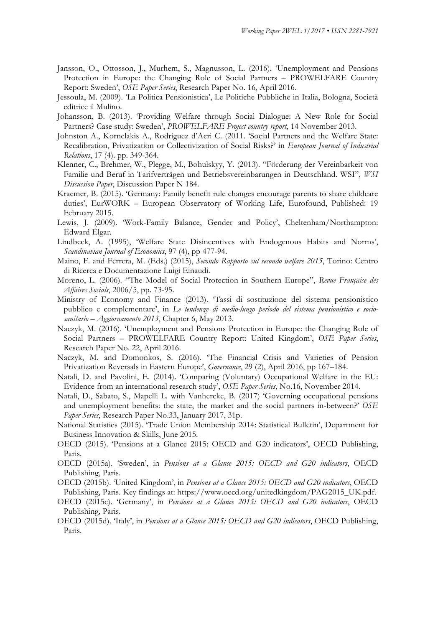- Jansson, O., Ottosson, J., Murhem, S., Magnusson, L. (2016). 'Unemployment and Pensions Protection in Europe: the Changing Role of Social Partners – PROWELFARE Country Report: Sweden', *OSE Paper Series*, Research Paper No. 16, April 2016.
- Jessoula, M. (2009). 'La Politica Pensionistica', Le Politiche Pubbliche in Italia, Bologna, Società editrice il Mulino.
- Johansson, B. (2013). 'Providing Welfare through Social Dialogue: A New Role for Social Partners? Case study: Sweden', *PROWELFARE Project country report*, 14 November 2013.
- Johnston A., Kornelakis A., Rodriguez d'Acri C. (2011. 'Social Partners and the Welfare State: Recalibration, Privatization or Collectivization of Social Risks?' in *European Journal of Industrial Relations*, 17 (4). pp. 349-364.
- Klenner, C., Brehmer, W., Plegge, M., Bohulskyy, Y. (2013). "Förderung der Vereinbarkeit von Familie und Beruf in Tarifverträgen und Betriebsvereinbarungen in Deutschland. WSI", *WSI Discussion Paper*, Discussion Paper N 184.
- Kraemer, B. (2015). 'Germany: Family benefit rule changes encourage parents to share childcare duties', EurWORK – European Observatory of Working Life, Eurofound, Published: 19 February 2015.
- Lewis, J. (2009). 'Work-Family Balance, Gender and Policy', Cheltenham/Northampton: Edward Elgar.
- Lindbeck, A. (1995), 'Welfare State Disincentives with Endogenous Habits and Norms', *Scandinavian Journal of Economics*, 97 (4), pp 477-94.
- Maino, F. and Ferrera, M. (Eds.) (2015), *Secondo Rapporto sul secondo welfare 2015*, Torino: Centro di Ricerca e Documentazione Luigi Einaudi.
- Moreno, L. (2006). "The Model of Social Protection in Southern Europe", *Revue Française des Affaires Socials*, 2006/5, pp. 73-95.
- Ministry of Economy and Finance (2013). 'Tassi di sostituzione del sistema pensionistico pubblico e complementare', in *Le tendenze di medio-lungo periodo del sistema pensionistico e sociosanitario – Aggiornamento 2013*, Chapter 6, May 2013.
- Naczyk, M. (2016). 'Unemployment and Pensions Protection in Europe: the Changing Role of Social Partners – PROWELFARE Country Report: United Kingdom', *OSE Paper Series*, Research Paper No. 22, April 2016.
- Naczyk, M. and Domonkos, S. (2016). 'The Financial Crisis and Varieties of Pension Privatization Reversals in Eastern Europe', *Governance*, 29 (2), April 2016, pp 167–184.
- Natali, D. and Pavolini, E. (2014). 'Comparing (Voluntary) Occupational Welfare in the EU: Evidence from an international research study', *OSE Paper Series*, No.16, November 2014.
- Natali, D., Sabato, S., Mapelli L. with Vanhercke, B. (2017) 'Governing occupational pensions and unemployment benefits: the state, the market and the social partners in-between?' *OSE Paper Series*, Research Paper No.33, January 2017, 31p.
- National Statistics (2015). 'Trade Union Membership 2014: Statistical Bulletin', Department for Business Innovation & Skills, June 2015.
- OECD (2015). 'Pensions at a Glance 2015: OECD and G20 indicators', OECD Publishing, Paris.
- OECD (2015a). 'Sweden', in *Pensions at a Glance 2015: OECD and G20 indicators*, OECD Publishing, Paris.
- OECD (2015b). 'United Kingdom', in *Pensions at a Glance 2015: OECD and G20 indicators*, OECD Publishing, Paris. Key findings at: https://www.oecd.org/unitedkingdom/PAG2015\_UK.pdf.
- OECD (2015c). 'Germany', in *Pensions at a Glance 2015: OECD and G20 indicators*, OECD Publishing, Paris.
- OECD (2015d). 'Italy', in *Pensions at a Glance 2015: OECD and G20 indicators*, OECD Publishing, Paris.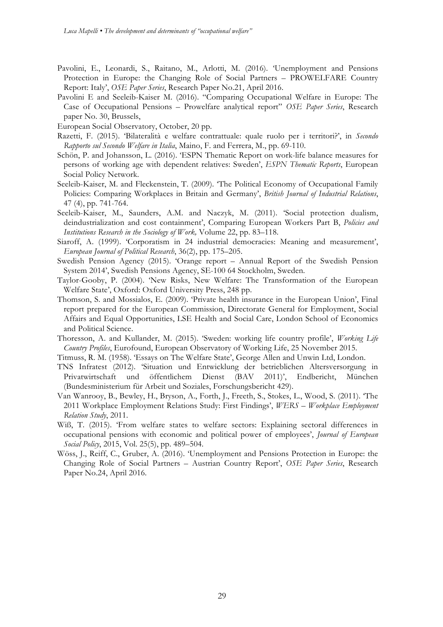- Pavolini, E., Leonardi, S., Raitano, M., Arlotti, M. (2016). 'Unemployment and Pensions Protection in Europe: the Changing Role of Social Partners – PROWELFARE Country Report: Italy', *OSE Paper Series*, Research Paper No.21, April 2016.
- Pavolini E and Seeleib-Kaiser M. (2016). "Comparing Occupational Welfare in Europe: The Case of Occupational Pensions – Prowelfare analytical report" *OSE Paper Series*, Research paper No. 30, Brussels,
- European Social Observatory, October, 20 pp.
- Razetti, F. (2015). 'Bilateralità e welfare contrattuale: quale ruolo per i territori?', in *Secondo Rapporto sul Secondo Welfare in Italia*, Maino, F. and Ferrera, M., pp. 69-110.
- Schön, P. and Johansson, L. (2016). 'ESPN Thematic Report on work-life balance measures for persons of working age with dependent relatives: Sweden', *ESPN Thematic Reports*, European Social Policy Network.
- Seeleib-Kaiser, M. and Fleckenstein, T. (2009). 'The Political Economy of Occupational Family Policies: Comparing Workplaces in Britain and Germany', *British Journal of Industrial Relations*, 47 (4), pp. 741-764.
- Seeleib-Kaiser, M., Saunders, A.M. and Naczyk, M. (2011). 'Social protection dualism, deindustrialization and cost containment', Comparing European Workers Part B, *Policies and Institutions Research in the Sociology of Work,* Volume 22, pp. 83–118.
- Siaroff, A. (1999). 'Corporatism in 24 industrial democracies: Meaning and measurement', *European Journal of Political Research*, 36(2), pp. 175–205.
- Swedish Pension Agency (2015). 'Orange report Annual Report of the Swedish Pension System 2014', Swedish Pensions Agency, SE-100 64 Stockholm, Sweden.
- Taylor-Gooby, P. (2004). 'New Risks, New Welfare: The Transformation of the European Welfare State', Oxford: Oxford University Press, 248 pp.
- Thomson, S. and Mossialos, E. (2009). 'Private health insurance in the European Union', Final report prepared for the European Commission, Directorate General for Employment, Social Affairs and Equal Opportunities, LSE Health and Social Care, London School of Economics and Political Science.
- Thoresson, A. and Kullander, M. (2015). 'Sweden: working life country profile', *Working Life Country Profiles*, Eurofound, European Observatory of Working Life, 25 November 2015.
- Titmuss, R. M. (1958). 'Essays on The Welfare State', George Allen and Unwin Ltd, London.
- TNS Infratest (2012). 'Situation und Entwicklung der betrieblichen Altersversorgung in Privatwirtschaft und öffentlichem Dienst (BAV 2011)', Endbericht, München (Bundesministerium für Arbeit und Soziales, Forschungsbericht 429).
- Van Wanrooy, B., Bewley, H., Bryson, A., Forth, J., Freeth, S., Stokes, L., Wood, S. (2011). 'The 2011 Workplace Employment Relations Study: First Findings', *WERS – Workplace Employment Relation Study*, 2011.
- Wiß, T. (2015). 'From welfare states to welfare sectors: Explaining sectoral differences in occupational pensions with economic and political power of employees', *Journal of European Social Policy*, 2015, Vol. 25(5), pp. 489–504.
- Wöss, J., Reiff, C., Gruber, A. (2016). 'Unemployment and Pensions Protection in Europe: the Changing Role of Social Partners – Austrian Country Report', *OSE Paper Series*, Research Paper No.24, April 2016.